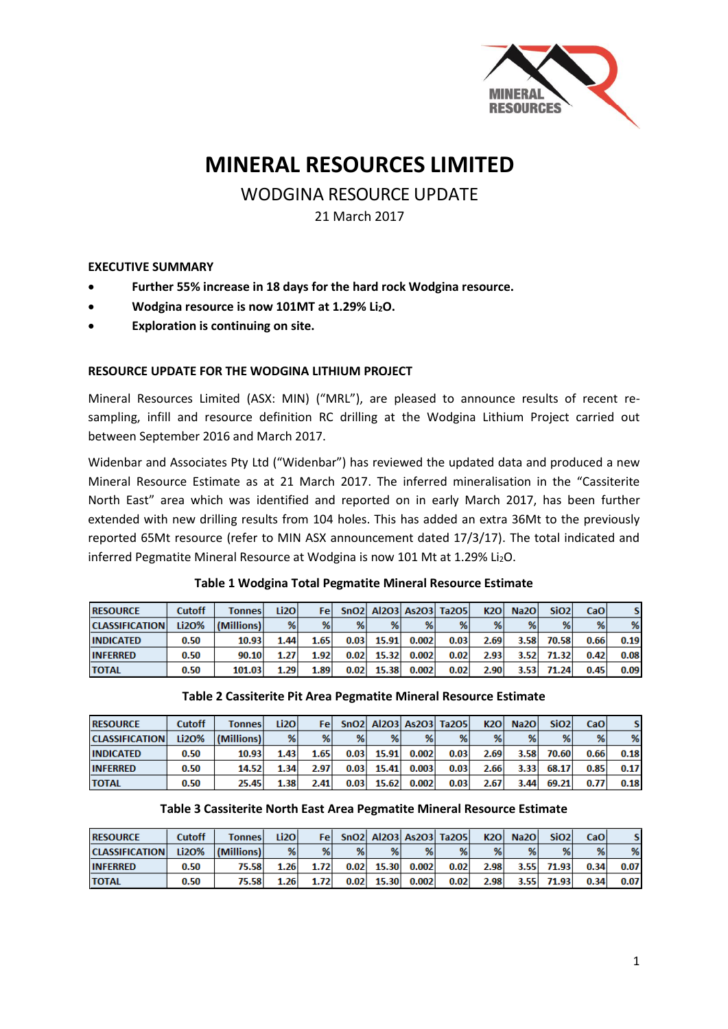

# **MINERAL RESOURCES LIMITED**

## WODGINA RESOURCE UPDATE

21 March 2017

#### **EXECUTIVE SUMMARY**

- **Further 55% increase in 18 days for the hard rock Wodgina resource.**
- **Wodgina resource is now 101MT at 1.29% Li2O.**
- **Exploration is continuing on site.**

#### **RESOURCE UPDATE FOR THE WODGINA LITHIUM PROJECT**

Mineral Resources Limited (ASX: MIN) ("MRL"), are pleased to announce results of recent resampling, infill and resource definition RC drilling at the Wodgina Lithium Project carried out between September 2016 and March 2017.

Widenbar and Associates Pty Ltd ("Widenbar") has reviewed the updated data and produced a new Mineral Resource Estimate as at 21 March 2017. The inferred mineralisation in the "Cassiterite North East" area which was identified and reported on in early March 2017, has been further extended with new drilling results from 104 holes. This has added an extra 36Mt to the previously reported 65Mt resource (refer to MIN ASX announcement dated 17/3/17). The total indicated and inferred Pegmatite Mineral Resource at Wodgina is now 101 Mt at 1.29% Li<sub>2</sub>O.

| <b>RESOURCE</b>       | <b>Cutoff</b> | <b>Tonnes</b> | Li <sub>20</sub> | Fel  |      |       |       | SnO2 Al2O3 As2O3 Ta2O5 | <b>K2O</b>        | Na <sub>20</sub> | Si <sub>O2</sub> | CaO  | S.   |
|-----------------------|---------------|---------------|------------------|------|------|-------|-------|------------------------|-------------------|------------------|------------------|------|------|
| <b>CLASSIFICATION</b> | Li2O%         | (Millions)    | %                | %    | %    | %     | %     | %                      | %                 | %                | %                | %    | %    |
| <b>INDICATED</b>      | 0.50          | 10.93         | 1.44             | 1.65 | 0.03 | 15.91 | 0.002 | 0.03                   | 2.69              | 3.58             | 70.58            | 0.66 | 0.19 |
| <b>INFERRED</b>       | 0.50          | 90.10         | 1.27             | 1.92 | 0.02 | 15.32 | 0.002 | 0.02                   | 2.93 <sub>1</sub> | 3.52             | 71.32            | 0.42 | 0.08 |
| <b>TOTAL</b>          | 0.50          | 101.03        | 1.29             | 1.89 | 0.02 | 15.38 | 0.002 | 0.02                   | 2.90              | 3.53             | 71.24            | 0.45 | 0.09 |

#### **Table 1 Wodgina Total Pegmatite Mineral Resource Estimate**

#### **Table 2 Cassiterite Pit Area Pegmatite Mineral Resource Estimate**

| <b>RESOURCE</b>       | <b>Cutoff</b> | <b>Tonnes</b> | Li <sub>20</sub> | Fel  |      |       |       | SnO2 Al2O3 As2O3 Ta2O5 | <b>K2O</b> | <b>Na2O</b>       | Si <sub>O2</sub> | CaO <sup>1</sup> | s    |
|-----------------------|---------------|---------------|------------------|------|------|-------|-------|------------------------|------------|-------------------|------------------|------------------|------|
| <b>CLASSIFICATION</b> | Li2O%         | (Millions)    | %                | %    | %    | %     | %     | %                      | %          | %                 | %                | %                | %    |
| <b>INDICATED</b>      | 0.50          | 10.93         | 1.43             | 1.65 | 0.03 | 15.91 | 0.002 | 0.03                   | 2.69       | 3.58              | 70.60            | 0.66             | 0.18 |
| <b>INFERRED</b>       | 0.50          | 14.52         | 1.34             | 2.97 | 0.03 | 15.41 | 0.003 | 0.03                   | 2.66       | 3.33 <sub>1</sub> | 68.17            | 0.85             | 0.17 |
| <b>TOTAL</b>          | 0.50          | 25.45         | 1.38             | 2.41 | 0.03 | 15.62 | 0.002 | 0.03                   | 2.67       | 3.44              | 69.21            | 0.77             | 0.18 |

#### **Table 3 Cassiterite North East Area Pegmatite Mineral Resource Estimate**

| <b>RESOURCE</b>       | <b>Cutoff</b> | <b>Tonnes</b> | Li2O | Fel  |      |       |       | SnO2 Al2O3 As2O3 Ta2O5 | K2O               | Na <sub>20</sub> | Si <sub>O2</sub> | <b>CaO</b> |      |
|-----------------------|---------------|---------------|------|------|------|-------|-------|------------------------|-------------------|------------------|------------------|------------|------|
| <b>CLASSIFICATION</b> | Li2O%         | (Millions)    | %    | %    | %    | %     | %     | %                      | %                 | %                | %                | %          | %    |
| <b>INFERRED</b>       | 0.50          | 75.58         | 1.26 | 1.72 | 0.02 | 15.30 | 0.002 | 0.02                   | 2.98 <sub>1</sub> | 3.55             | 71.93            | 0.34       | 0.07 |
| <b>TOTAL</b>          | 0.50          | 75.58         | 1.26 | 1.72 | 0.02 | 15.30 | 0.002 | 0.02                   | 2.98              | 3.55             | 71.93            | 0.34       | 0.07 |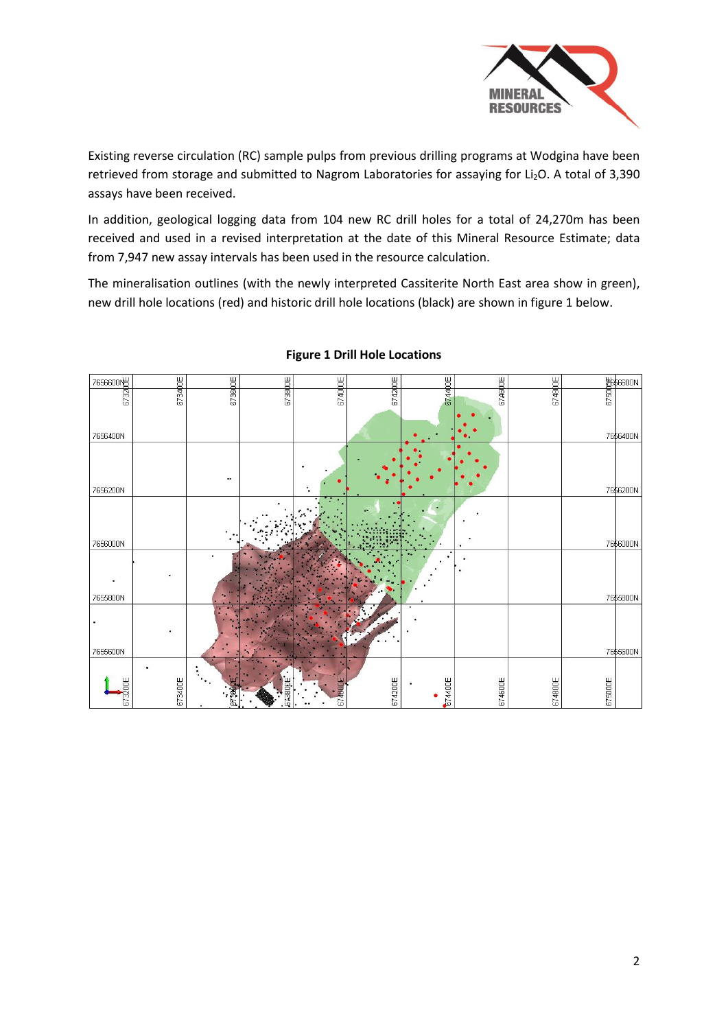

Existing reverse circulation (RC) sample pulps from previous drilling programs at Wodgina have been retrieved from storage and submitted to Nagrom Laboratories for assaying for Li<sub>2</sub>O. A total of 3,390 assays have been received.

In addition, geological logging data from 104 new RC drill holes for a total of 24,270m has been received and used in a revised interpretation at the date of this Mineral Resource Estimate; data from 7,947 new assay intervals has been used in the resource calculation.

The mineralisation outlines (with the newly interpreted Cassiterite North East area show in green), new drill hole locations (red) and historic drill hole locations (black) are shown in figure 1 below.



#### **Figure 1 Drill Hole Locations**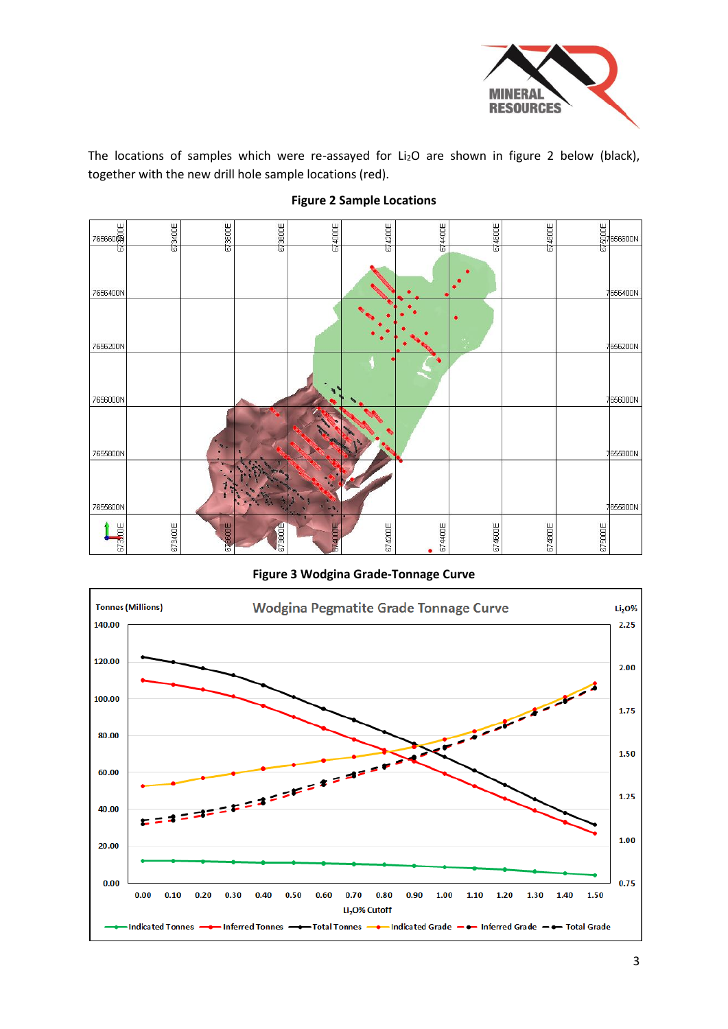

The locations of samples which were re-assayed for  $Li<sub>2</sub>O$  are shown in figure 2 below (black), together with the new drill hole sample locations (red).



## **Figure 2 Sample Locations**

**Figure 3 Wodgina Grade-Tonnage Curve**

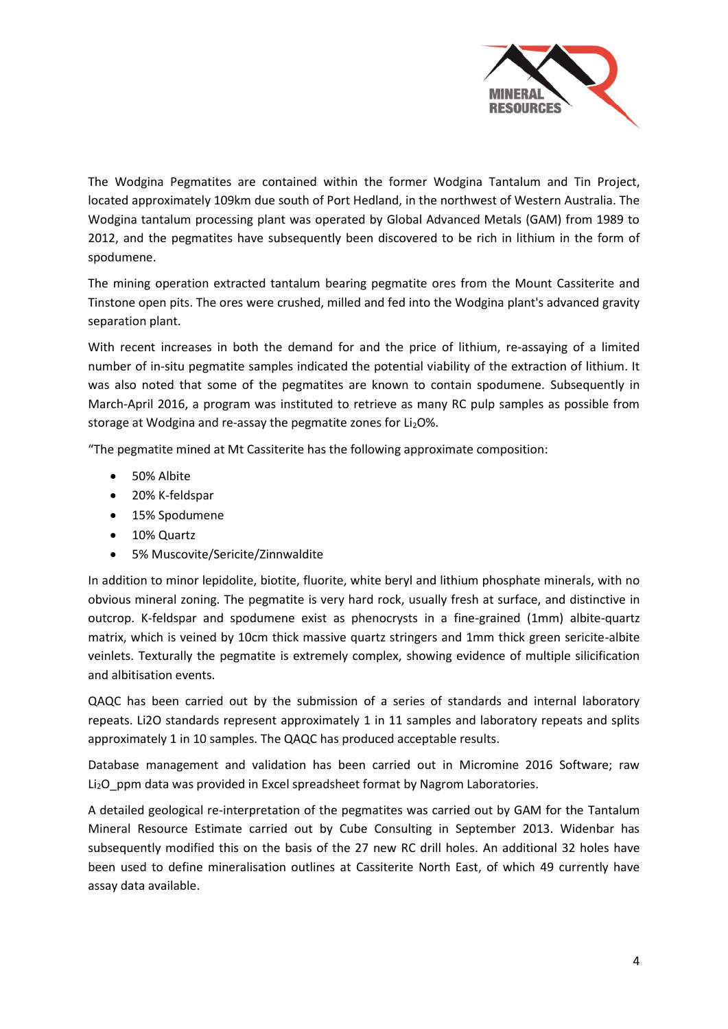

The Wodgina Pegmatites are contained within the former Wodgina Tantalum and Tin Project, located approximately 109km due south of Port Hedland, in the northwest of Western Australia. The Wodgina tantalum processing plant was operated by Global Advanced Metals (GAM) from 1989 to 2012, and the pegmatites have subsequently been discovered to be rich in lithium in the form of spodumene.

The mining operation extracted tantalum bearing pegmatite ores from the Mount Cassiterite and Tinstone open pits. The ores were crushed, milled and fed into the Wodgina plant's advanced gravity separation plant.

With recent increases in both the demand for and the price of lithium, re-assaying of a limited number of in-situ pegmatite samples indicated the potential viability of the extraction of lithium. It was also noted that some of the pegmatites are known to contain spodumene. Subsequently in March-April 2016, a program was instituted to retrieve as many RC pulp samples as possible from storage at Wodgina and re-assay the pegmatite zones for Li<sub>2</sub>O%.

"The pegmatite mined at Mt Cassiterite has the following approximate composition:

- 50% Albite
- 20% K-feldspar
- 15% Spodumene
- 10% Quartz
- 5% Muscovite/Sericite/Zinnwaldite

In addition to minor lepidolite, biotite, fluorite, white beryl and lithium phosphate minerals, with no obvious mineral zoning. The pegmatite is very hard rock, usually fresh at surface, and distinctive in outcrop. K-feldspar and spodumene exist as phenocrysts in a fine-grained (1mm) albite-quartz matrix, which is veined by 10cm thick massive quartz stringers and 1mm thick green sericite-albite veinlets. Texturally the pegmatite is extremely complex, showing evidence of multiple silicification and albitisation events.

QAQC has been carried out by the submission of a series of standards and internal laboratory repeats. Li2O standards represent approximately 1 in 11 samples and laboratory repeats and splits approximately 1 in 10 samples. The QAQC has produced acceptable results.

Database management and validation has been carried out in Micromine 2016 Software; raw Li<sub>2</sub>O ppm data was provided in Excel spreadsheet format by Nagrom Laboratories.

A detailed geological re-interpretation of the pegmatites was carried out by GAM for the Tantalum Mineral Resource Estimate carried out by Cube Consulting in September 2013. Widenbar has subsequently modified this on the basis of the 27 new RC drill holes. An additional 32 holes have been used to define mineralisation outlines at Cassiterite North East, of which 49 currently have assay data available.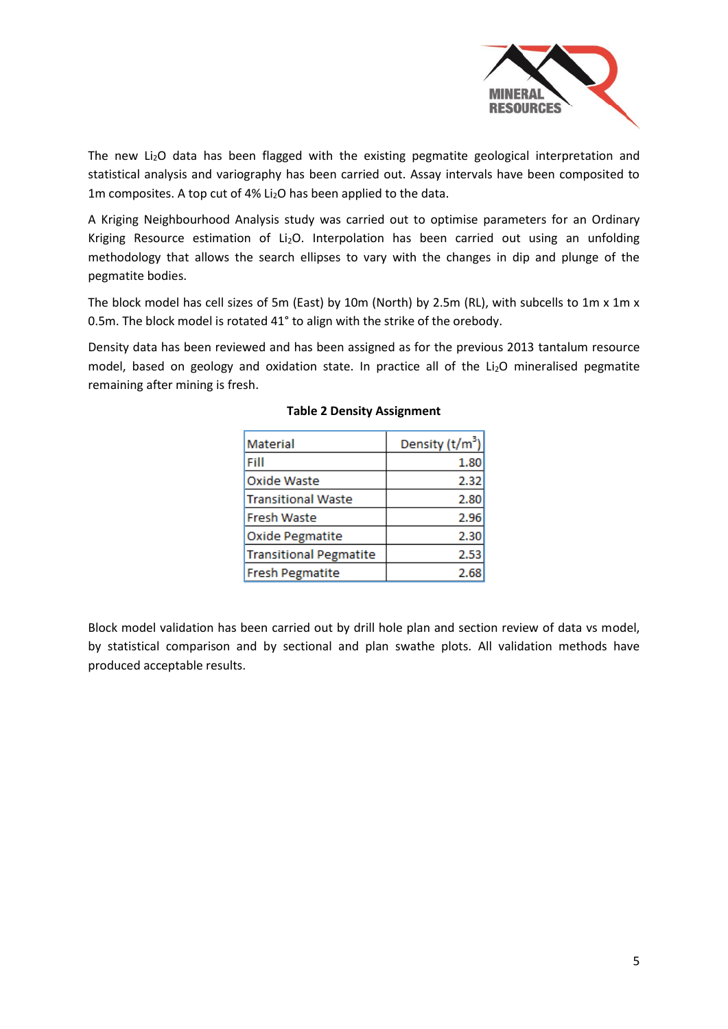

The new Li<sub>2</sub>O data has been flagged with the existing pegmatite geological interpretation and statistical analysis and variography has been carried out. Assay intervals have been composited to 1m composites. A top cut of 4% Li<sub>2</sub>O has been applied to the data.

A Kriging Neighbourhood Analysis study was carried out to optimise parameters for an Ordinary Kriging Resource estimation of Li<sub>2</sub>O. Interpolation has been carried out using an unfolding methodology that allows the search ellipses to vary with the changes in dip and plunge of the pegmatite bodies.

The block model has cell sizes of 5m (East) by 10m (North) by 2.5m (RL), with subcells to 1m x 1m x 0.5m. The block model is rotated 41° to align with the strike of the orebody.

Density data has been reviewed and has been assigned as for the previous 2013 tantalum resource model, based on geology and oxidation state. In practice all of the Li<sub>2</sub>O mineralised pegmatite remaining after mining is fresh.

| Material                      | Density $(t/m^3)$ |
|-------------------------------|-------------------|
| Fill                          | 1.80              |
| Oxide Waste                   | 2.32              |
| <b>Transitional Waste</b>     | 2.80              |
| Fresh Waste                   | 2.96              |
| <b>Oxide Pegmatite</b>        | 2.30              |
| <b>Transitional Pegmatite</b> | 2.53              |
| <b>Fresh Pegmatite</b>        | 2.68              |

#### **Table 2 Density Assignment**

Block model validation has been carried out by drill hole plan and section review of data vs model, by statistical comparison and by sectional and plan swathe plots. All validation methods have produced acceptable results.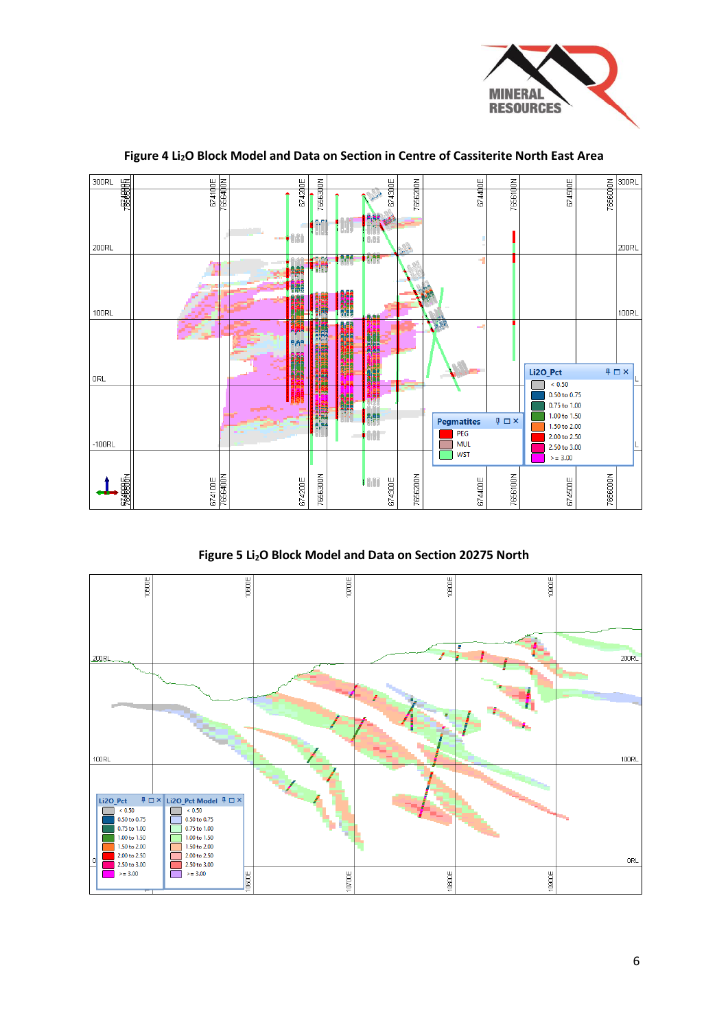



## **Figure 4 Li2O Block Model and Data on Section in Centre of Cassiterite North East Area**

**Figure 5 Li2O Block Model and Data on Section 20275 North**

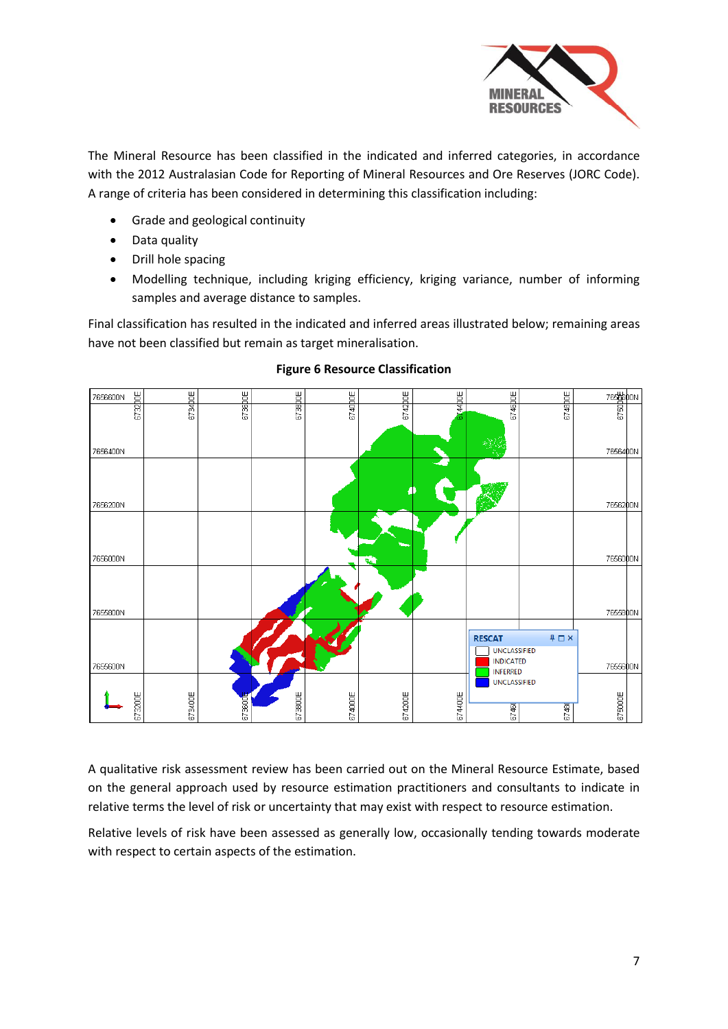

The Mineral Resource has been classified in the indicated and inferred categories, in accordance with the 2012 Australasian Code for Reporting of Mineral Resources and Ore Reserves (JORC Code). A range of criteria has been considered in determining this classification including:

- Grade and geological continuity
- Data quality
- Drill hole spacing
- Modelling technique, including kriging efficiency, kriging variance, number of informing samples and average distance to samples.

Final classification has resulted in the indicated and inferred areas illustrated below; remaining areas have not been classified but remain as target mineralisation.



#### **Figure 6 Resource Classification**

A qualitative risk assessment review has been carried out on the Mineral Resource Estimate, based on the general approach used by resource estimation practitioners and consultants to indicate in relative terms the level of risk or uncertainty that may exist with respect to resource estimation.

Relative levels of risk have been assessed as generally low, occasionally tending towards moderate with respect to certain aspects of the estimation.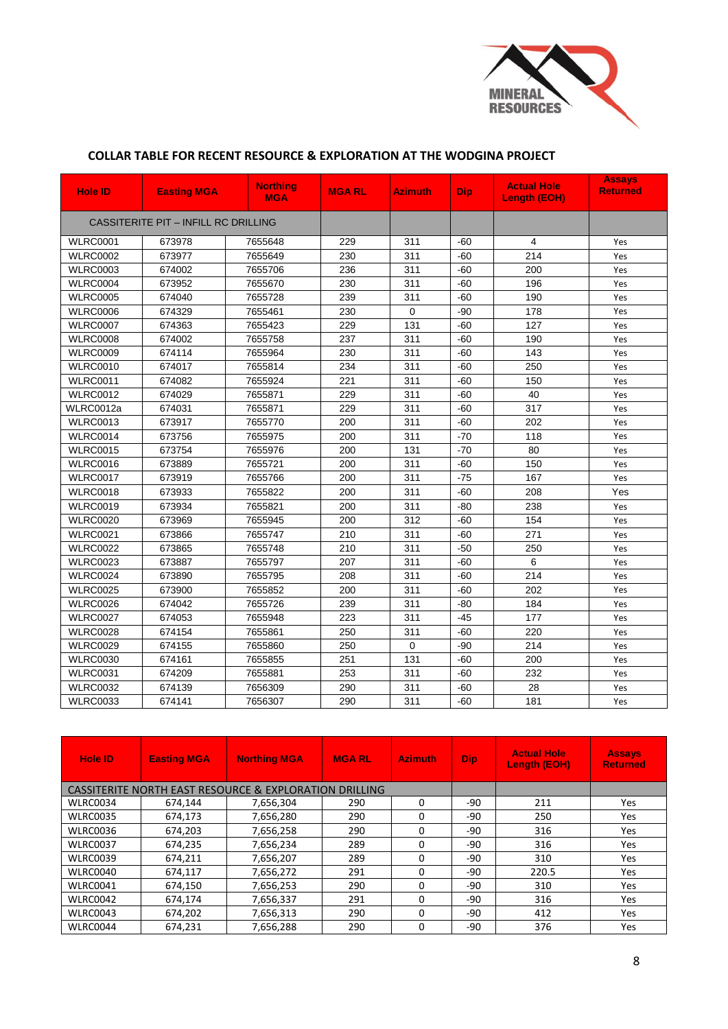

## **COLLAR TABLE FOR RECENT RESOURCE & EXPLORATION AT THE WODGINA PROJECT**

| <b>Hole ID</b>                       | <b>Easting MGA</b> | <b>Northing</b><br><b>MGA</b> | <b>MGARL</b> | <b>Azimuth</b> | <b>Dip</b> | <b>Actual Hole</b><br><b>Length (EOH)</b> | <b>Assays</b><br><b>Returned</b> |
|--------------------------------------|--------------------|-------------------------------|--------------|----------------|------------|-------------------------------------------|----------------------------------|
| CASSITERITE PIT - INFILL RC DRILLING |                    |                               |              |                |            |                                           |                                  |
| <b>WLRC0001</b>                      | 673978             | 7655648                       | 229          | 311            | $-60$      | $\overline{4}$                            | Yes                              |
| <b>WLRC0002</b>                      | 673977             | 7655649                       | 230          | 311            | $-60$      | 214                                       | Yes                              |
| <b>WLRC0003</b>                      | 674002             | 7655706                       | 236          | 311            | $-60$      | 200                                       | Yes                              |
| <b>WLRC0004</b>                      | 673952             | 7655670                       | 230          | 311            | $-60$      | 196                                       | Yes                              |
| <b>WLRC0005</b>                      | 674040             | 7655728                       | 239          | 311            | $-60$      | 190                                       | Yes                              |
| <b>WLRC0006</b>                      | 674329             | 7655461                       | 230          | $\Omega$       | $-90$      | 178                                       | Yes                              |
| <b>WLRC0007</b>                      | 674363             | 7655423                       | 229          | 131            | $-60$      | 127                                       | Yes                              |
| <b>WLRC0008</b>                      | 674002             | 7655758                       | 237          | 311            | $-60$      | 190                                       | Yes                              |
| <b>WLRC0009</b>                      | 674114             | 7655964                       | 230          | 311            | $-60$      | 143                                       | Yes                              |
| <b>WLRC0010</b>                      | 674017             | 7655814                       | 234          | 311            | $-60$      | 250                                       | Yes                              |
| <b>WLRC0011</b>                      | 674082             | 7655924                       | 221          | 311            | $-60$      | 150                                       | Yes                              |
| <b>WLRC0012</b>                      | 674029             | 7655871                       | 229          | 311            | $-60$      | 40                                        | Yes                              |
| WLRC0012a                            | 674031             | 7655871                       | 229          | 311            | $-60$      | 317                                       | Yes                              |
| <b>WLRC0013</b>                      | 673917             | 7655770                       | 200          | 311            | $-60$      | 202                                       | Yes                              |
| <b>WLRC0014</b>                      | 673756             | 7655975                       | 200          | 311            | $-70$      | 118                                       | Yes                              |
| <b>WLRC0015</b>                      | 673754             | 7655976                       | 200          | 131            | $-70$      | 80                                        | Yes                              |
| <b>WLRC0016</b>                      | 673889             | 7655721                       | 200          | 311            | $-60$      | 150                                       | Yes                              |
| <b>WLRC0017</b>                      | 673919             | 7655766                       | 200          | 311            | $-75$      | 167                                       | Yes                              |
| <b>WLRC0018</b>                      | 673933             | 7655822                       | 200          | 311            | $-60$      | 208                                       | Yes                              |
| <b>WLRC0019</b>                      | 673934             | 7655821                       | 200          | 311            | $-80$      | 238                                       | Yes                              |
| <b>WLRC0020</b>                      | 673969             | 7655945                       | 200          | 312            | $-60$      | 154                                       | Yes                              |
| <b>WLRC0021</b>                      | 673866             | 7655747                       | 210          | 311            | $-60$      | 271                                       | Yes                              |
| <b>WLRC0022</b>                      | 673865             | 7655748                       | 210          | 311            | $-50$      | 250                                       | Yes                              |
| <b>WLRC0023</b>                      | 673887             | 7655797                       | 207          | 311            | $-60$      | 6                                         | Yes                              |
| <b>WLRC0024</b>                      | 673890             | 7655795                       | 208          | 311            | $-60$      | 214                                       | Yes                              |
| <b>WLRC0025</b>                      | 673900             | 7655852                       | 200          | 311            | $-60$      | 202                                       | Yes                              |
| <b>WLRC0026</b>                      | 674042             | 7655726                       | 239          | 311            | $-80$      | 184                                       | Yes                              |
| <b>WLRC0027</b>                      | 674053             | 7655948                       | 223          | 311            | $-45$      | 177                                       | Yes                              |
| <b>WLRC0028</b>                      | 674154             | 7655861                       | 250          | 311            | $-60$      | 220                                       | Yes                              |
| <b>WLRC0029</b>                      | 674155             | 7655860                       | 250          | $\Omega$       | $-90$      | 214                                       | Yes                              |
| <b>WLRC0030</b>                      | 674161             | 7655855                       | 251          | 131            | $-60$      | 200                                       | Yes                              |
| <b>WLRC0031</b>                      | 674209             | 7655881                       | 253          | 311            | $-60$      | 232                                       | Yes                              |
| <b>WLRC0032</b>                      | 674139             | 7656309                       | 290          | 311            | $-60$      | 28                                        | Yes                              |
| <b>WLRC0033</b>                      | 674141             | 7656307                       | 290          | 311            | $-60$      | 181                                       | Yes                              |

| <b>Hole ID</b>  | <b>Easting MGA</b>                                                | <b>Northing MGA</b> | <b>MGARL</b> | <b>Azimuth</b> | <b>Dip</b> | <b>Actual Hole</b><br><b>Length (EOH)</b> | <b>Assays</b><br><b>Returned</b> |
|-----------------|-------------------------------------------------------------------|---------------------|--------------|----------------|------------|-------------------------------------------|----------------------------------|
|                 | <b>CASSITERITE NORTH EAST RESOURCE &amp; EXPLORATION DRILLING</b> |                     |              |                |            |                                           |                                  |
| <b>WLRC0034</b> | 674,144                                                           | 7,656,304           | 290          | $\Omega$       | $-90$      | 211                                       | Yes                              |
| <b>WLRC0035</b> | 674,173                                                           | 7,656,280           | 290          | 0              | -90        | 250                                       | Yes                              |
| <b>WLRC0036</b> | 674,203                                                           | 7,656,258           | 290          | $\Omega$       | -90        | 316                                       | Yes                              |
| <b>WLRC0037</b> | 674,235                                                           | 7,656,234           | 289          | $\Omega$       | $-90$      | 316                                       | Yes                              |
| <b>WLRC0039</b> | 674,211                                                           | 7,656,207           | 289          | $\Omega$       | -90        | 310                                       | Yes                              |
| <b>WLRC0040</b> | 674,117                                                           | 7,656,272           | 291          | $\Omega$       | -90        | 220.5                                     | Yes                              |
| <b>WLRC0041</b> | 674,150                                                           | 7,656,253           | 290          | $\Omega$       | -90        | 310                                       | Yes                              |
| <b>WLRC0042</b> | 674.174                                                           | 7,656,337           | 291          | $\Omega$       | -90        | 316                                       | Yes                              |
| <b>WLRC0043</b> | 674,202                                                           | 7,656,313           | 290          | $\Omega$       | -90        | 412                                       | Yes                              |
| WLRC0044        | 674,231                                                           | 7,656,288           | 290          | $\Omega$       | -90        | 376                                       | Yes                              |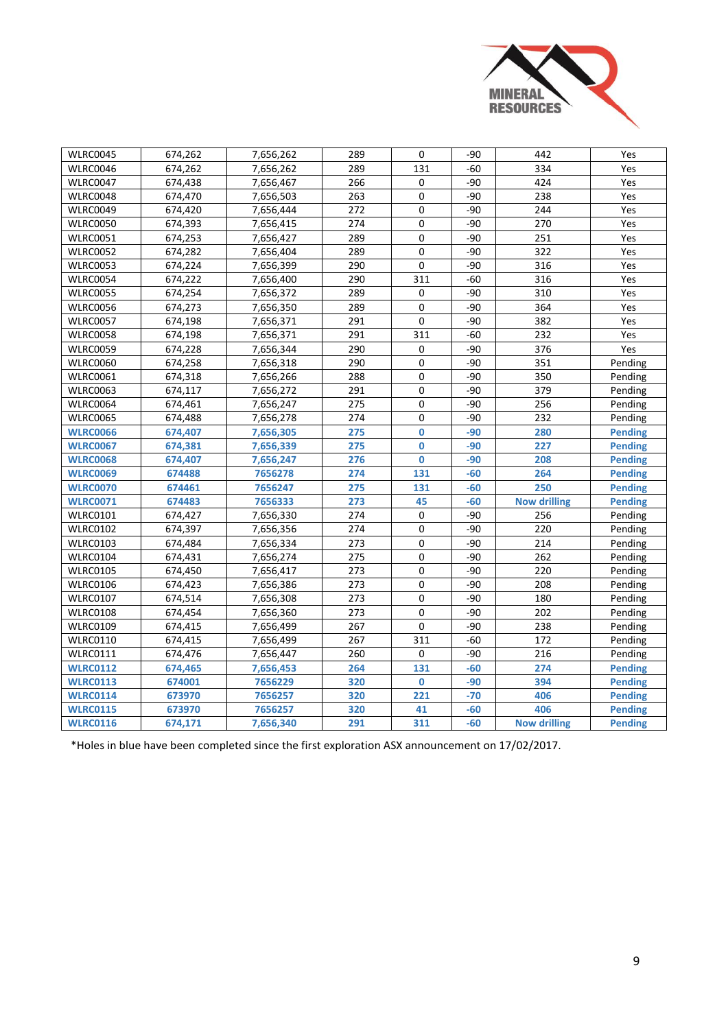

| <b>WLRC0045</b> | 674,262 | 7,656,262 | 289 | 0           | $-90$ | 442                 | Yes            |
|-----------------|---------|-----------|-----|-------------|-------|---------------------|----------------|
| <b>WLRC0046</b> | 674,262 | 7,656,262 | 289 | 131         | $-60$ | 334                 | Yes            |
| <b>WLRC0047</b> | 674,438 | 7,656,467 | 266 | 0           | $-90$ | 424                 | Yes            |
| WLRC0048        | 674,470 | 7,656,503 | 263 | 0           | -90   | 238                 | Yes            |
| <b>WLRC0049</b> | 674,420 | 7,656,444 | 272 | 0           | $-90$ | 244                 | Yes            |
| <b>WLRC0050</b> | 674,393 | 7,656,415 | 274 | 0           | $-90$ | 270                 | Yes            |
| <b>WLRC0051</b> | 674,253 | 7,656,427 | 289 | 0           | $-90$ | 251                 | Yes            |
| <b>WLRC0052</b> | 674,282 | 7,656,404 | 289 | 0           | $-90$ | 322                 | Yes            |
| <b>WLRC0053</b> | 674,224 | 7,656,399 | 290 | 0           | $-90$ | 316                 | Yes            |
| <b>WLRC0054</b> | 674,222 | 7,656,400 | 290 | 311         | $-60$ | 316                 | Yes            |
| <b>WLRC0055</b> | 674,254 | 7,656,372 | 289 | $\pmb{0}$   | $-90$ | 310                 | Yes            |
| <b>WLRC0056</b> | 674,273 | 7,656,350 | 289 | 0           | $-90$ | 364                 | Yes            |
| <b>WLRC0057</b> | 674,198 | 7,656,371 | 291 | 0           | $-90$ | 382                 | Yes            |
| <b>WLRC0058</b> | 674,198 | 7,656,371 | 291 | 311         | $-60$ | 232                 | Yes            |
| <b>WLRC0059</b> | 674,228 | 7,656,344 | 290 | 0           | $-90$ | 376                 | Yes            |
| <b>WLRC0060</b> | 674,258 | 7,656,318 | 290 | 0           | $-90$ | 351                 | Pending        |
| <b>WLRC0061</b> | 674,318 | 7,656,266 | 288 | $\mathbf 0$ | -90   | 350                 | Pending        |
| <b>WLRC0063</b> | 674,117 | 7,656,272 | 291 | 0           | -90   | 379                 | Pending        |
| <b>WLRC0064</b> | 674,461 | 7,656,247 | 275 | 0           | $-90$ | 256                 | Pending        |
| <b>WLRC0065</b> | 674,488 | 7,656,278 | 274 | 0           | $-90$ | 232                 | Pending        |
| <b>WLRC0066</b> | 674,407 | 7,656,305 | 275 | $\mathbf 0$ | $-90$ | 280                 | <b>Pending</b> |
| <b>WLRC0067</b> | 674,381 | 7,656,339 | 275 | $\mathbf 0$ | $-90$ | 227                 | <b>Pending</b> |
| <b>WLRC0068</b> | 674,407 | 7,656,247 | 276 | $\mathbf 0$ | $-90$ | 208                 | <b>Pending</b> |
| <b>WLRC0069</b> | 674488  | 7656278   | 274 | 131         | $-60$ | 264                 | <b>Pending</b> |
| <b>WLRC0070</b> | 674461  | 7656247   | 275 | 131         | $-60$ | 250                 | <b>Pending</b> |
| <b>WLRC0071</b> | 674483  | 7656333   | 273 | 45          | $-60$ | <b>Now drilling</b> | <b>Pending</b> |
| <b>WLRC0101</b> | 674,427 | 7,656,330 | 274 | 0           | $-90$ | 256                 | Pending        |
| <b>WLRC0102</b> | 674,397 | 7,656,356 | 274 | 0           | $-90$ | 220                 | Pending        |
| <b>WLRC0103</b> | 674,484 | 7,656,334 | 273 | 0           | $-90$ | 214                 | Pending        |
| WLRC0104        | 674,431 | 7,656,274 | 275 | 0           | $-90$ | 262                 | Pending        |
| <b>WLRC0105</b> | 674,450 | 7,656,417 | 273 | 0           | -90   | 220                 | Pending        |
| <b>WLRC0106</b> | 674,423 | 7,656,386 | 273 | $\mathbf 0$ | $-90$ | 208                 | Pending        |
| <b>WLRC0107</b> | 674,514 | 7,656,308 | 273 | 0           | $-90$ | 180                 | Pending        |
| <b>WLRC0108</b> | 674,454 | 7,656,360 | 273 | 0           | $-90$ | 202                 | Pending        |
| <b>WLRC0109</b> | 674,415 | 7,656,499 | 267 | 0           | $-90$ | 238                 | Pending        |
| <b>WLRC0110</b> | 674,415 | 7,656,499 | 267 | 311         | $-60$ | 172                 | Pending        |
| <b>WLRC0111</b> | 674,476 | 7,656,447 | 260 | $\mathbf 0$ | $-90$ | 216                 | Pending        |
| <b>WLRC0112</b> | 674,465 | 7,656,453 | 264 | 131         | $-60$ | 274                 | <b>Pending</b> |
| <b>WLRC0113</b> | 674001  | 7656229   | 320 | $\mathbf 0$ | $-90$ | 394                 | <b>Pending</b> |
| <b>WLRC0114</b> | 673970  | 7656257   | 320 | 221         | $-70$ | 406                 | <b>Pending</b> |
| <b>WLRC0115</b> | 673970  | 7656257   | 320 | 41          | $-60$ | 406                 | <b>Pending</b> |
| <b>WLRC0116</b> | 674,171 | 7,656,340 | 291 | 311         | $-60$ | <b>Now drilling</b> | <b>Pending</b> |

\*Holes in blue have been completed since the first exploration ASX announcement on 17/02/2017.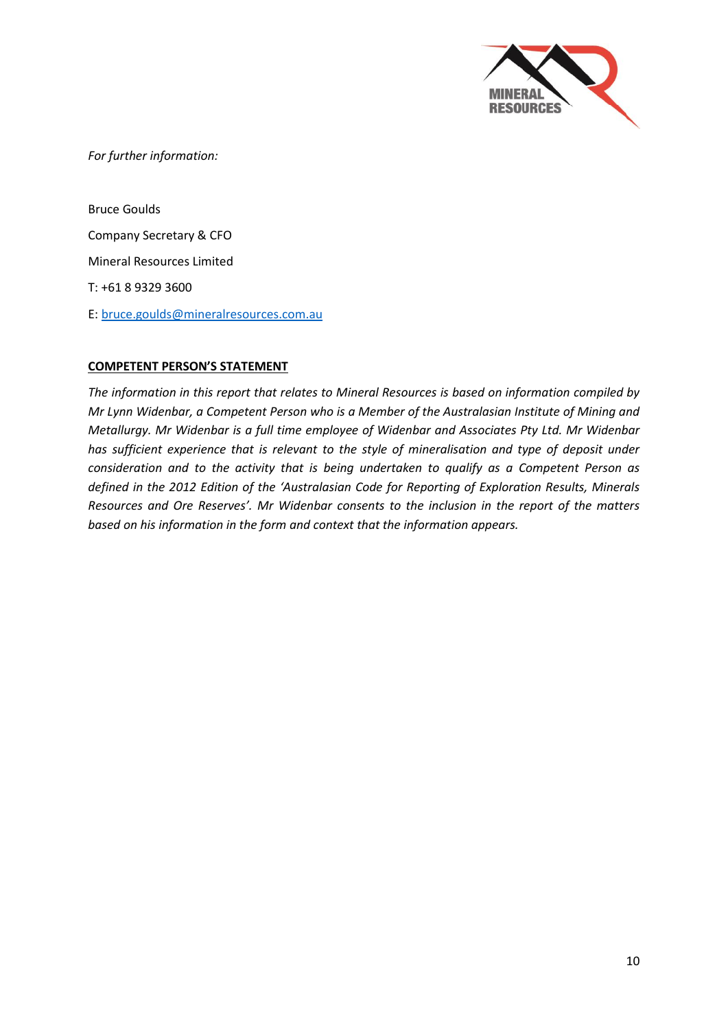

*For further information:*

Bruce Goulds Company Secretary & CFO Mineral Resources Limited T: +61 8 9329 3600 E: [bruce.goulds@mineralresources.com.au](mailto:bruce.goulds@mineralresources.com.au)

#### **COMPETENT PERSON'S STATEMENT**

*The information in this report that relates to Mineral Resources is based on information compiled by Mr Lynn Widenbar, a Competent Person who is a Member of the Australasian Institute of Mining and Metallurgy. Mr Widenbar is a full time employee of Widenbar and Associates Pty Ltd. Mr Widenbar has sufficient experience that is relevant to the style of mineralisation and type of deposit under consideration and to the activity that is being undertaken to qualify as a Competent Person as defined in the 2012 Edition of the 'Australasian Code for Reporting of Exploration Results, Minerals Resources and Ore Reserves'. Mr Widenbar consents to the inclusion in the report of the matters based on his information in the form and context that the information appears.*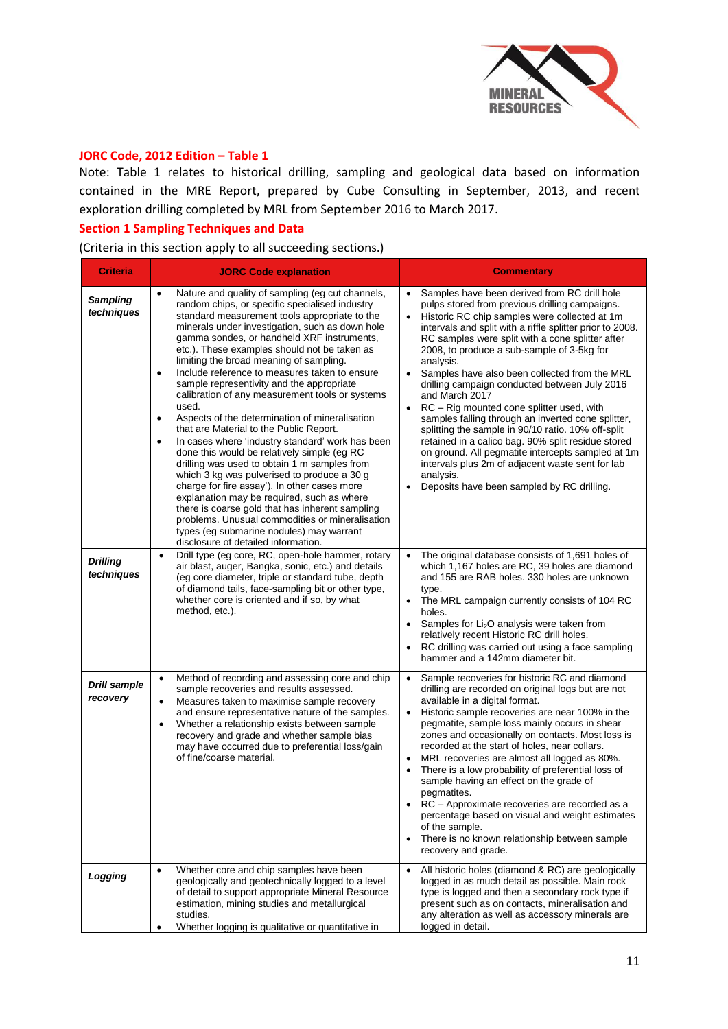

## **JORC Code, 2012 Edition – Table 1**

Note: Table 1 relates to historical drilling, sampling and geological data based on information contained in the MRE Report, prepared by Cube Consulting in September, 2013, and recent exploration drilling completed by MRL from September 2016 to March 2017.

#### **Section 1 Sampling Techniques and Data**

(Criteria in this section apply to all succeeding sections.)

| <b>Criteria</b>                                                | <b>JORC Code explanation</b>                                                                                                                                                                                                                                                                                                                                                                                                                                                                                                                                                                                                                                                                                                                                                                                                                                                                                                                                                                                                                                                                                                                                                                                                                                                                                                                                                                                                                    | <b>Commentary</b>                                                                                                                                                                                                                                                                                                                                                                                                                                                                                                                                                                                                                                                                                                                                                                                                                                                                                                                                                                                                                                                                                                                                                                                                                                                            |
|----------------------------------------------------------------|-------------------------------------------------------------------------------------------------------------------------------------------------------------------------------------------------------------------------------------------------------------------------------------------------------------------------------------------------------------------------------------------------------------------------------------------------------------------------------------------------------------------------------------------------------------------------------------------------------------------------------------------------------------------------------------------------------------------------------------------------------------------------------------------------------------------------------------------------------------------------------------------------------------------------------------------------------------------------------------------------------------------------------------------------------------------------------------------------------------------------------------------------------------------------------------------------------------------------------------------------------------------------------------------------------------------------------------------------------------------------------------------------------------------------------------------------|------------------------------------------------------------------------------------------------------------------------------------------------------------------------------------------------------------------------------------------------------------------------------------------------------------------------------------------------------------------------------------------------------------------------------------------------------------------------------------------------------------------------------------------------------------------------------------------------------------------------------------------------------------------------------------------------------------------------------------------------------------------------------------------------------------------------------------------------------------------------------------------------------------------------------------------------------------------------------------------------------------------------------------------------------------------------------------------------------------------------------------------------------------------------------------------------------------------------------------------------------------------------------|
| <b>Sampling</b><br>techniques<br><b>Drilling</b><br>techniques | Nature and quality of sampling (eg cut channels,<br>$\bullet$<br>random chips, or specific specialised industry<br>standard measurement tools appropriate to the<br>minerals under investigation, such as down hole<br>gamma sondes, or handheld XRF instruments,<br>etc.). These examples should not be taken as<br>limiting the broad meaning of sampling.<br>Include reference to measures taken to ensure<br>$\bullet$<br>sample representivity and the appropriate<br>calibration of any measurement tools or systems<br>used.<br>Aspects of the determination of mineralisation<br>٠<br>that are Material to the Public Report.<br>In cases where 'industry standard' work has been<br>$\bullet$<br>done this would be relatively simple (eg RC<br>drilling was used to obtain 1 m samples from<br>which 3 kg was pulverised to produce a 30 g<br>charge for fire assay'). In other cases more<br>explanation may be required, such as where<br>there is coarse gold that has inherent sampling<br>problems. Unusual commodities or mineralisation<br>types (eg submarine nodules) may warrant<br>disclosure of detailed information.<br>Drill type (eg core, RC, open-hole hammer, rotary<br>$\bullet$<br>air blast, auger, Bangka, sonic, etc.) and details<br>(eg core diameter, triple or standard tube, depth<br>of diamond tails, face-sampling bit or other type,<br>whether core is oriented and if so, by what<br>method, etc.). | Samples have been derived from RC drill hole<br>pulps stored from previous drilling campaigns.<br>Historic RC chip samples were collected at 1m<br>$\bullet$<br>intervals and split with a riffle splitter prior to 2008.<br>RC samples were split with a cone splitter after<br>2008, to produce a sub-sample of 3-5kg for<br>analysis.<br>Samples have also been collected from the MRL<br>drilling campaign conducted between July 2016<br>and March 2017<br>RC - Rig mounted cone splitter used, with<br>$\bullet$<br>samples falling through an inverted cone splitter,<br>splitting the sample in 90/10 ratio. 10% off-split<br>retained in a calico bag. 90% split residue stored<br>on ground. All pegmatite intercepts sampled at 1m<br>intervals plus 2m of adjacent waste sent for lab<br>analysis.<br>Deposits have been sampled by RC drilling.<br>The original database consists of 1,691 holes of<br>which 1,167 holes are RC, 39 holes are diamond<br>and 155 are RAB holes. 330 holes are unknown<br>type.<br>The MRL campaign currently consists of 104 RC<br>holes.<br>Samples for $Li2O$ analysis were taken from<br>relatively recent Historic RC drill holes.<br>RC drilling was carried out using a face sampling<br>hammer and a 142mm diameter bit. |
| <b>Drill sample</b><br>recovery                                | Method of recording and assessing core and chip<br>$\bullet$<br>sample recoveries and results assessed.<br>Measures taken to maximise sample recovery<br>$\bullet$<br>and ensure representative nature of the samples.<br>Whether a relationship exists between sample<br>$\bullet$<br>recovery and grade and whether sample bias<br>may have occurred due to preferential loss/gain<br>of fine/coarse material.                                                                                                                                                                                                                                                                                                                                                                                                                                                                                                                                                                                                                                                                                                                                                                                                                                                                                                                                                                                                                                | Sample recoveries for historic RC and diamond<br>drilling are recorded on original logs but are not<br>available in a digital format.<br>Historic sample recoveries are near 100% in the<br>$\bullet$<br>pegmatite, sample loss mainly occurs in shear<br>zones and occasionally on contacts. Most loss is<br>recorded at the start of holes, near collars.<br>MRL recoveries are almost all logged as 80%.<br>$\bullet$<br>There is a low probability of preferential loss of<br>sample having an effect on the grade of<br>pegmatites.<br>RC - Approximate recoveries are recorded as a<br>percentage based on visual and weight estimates<br>of the sample.<br>There is no known relationship between sample<br>$\bullet$<br>recovery and grade.                                                                                                                                                                                                                                                                                                                                                                                                                                                                                                                          |
| Logging                                                        | Whether core and chip samples have been<br>$\bullet$<br>geologically and geotechnically logged to a level<br>of detail to support appropriate Mineral Resource<br>estimation, mining studies and metallurgical<br>studies.<br>Whether logging is qualitative or quantitative in<br>٠                                                                                                                                                                                                                                                                                                                                                                                                                                                                                                                                                                                                                                                                                                                                                                                                                                                                                                                                                                                                                                                                                                                                                            | All historic holes (diamond & RC) are geologically<br>$\bullet$<br>logged in as much detail as possible. Main rock<br>type is logged and then a secondary rock type if<br>present such as on contacts, mineralisation and<br>any alteration as well as accessory minerals are<br>logged in detail.                                                                                                                                                                                                                                                                                                                                                                                                                                                                                                                                                                                                                                                                                                                                                                                                                                                                                                                                                                           |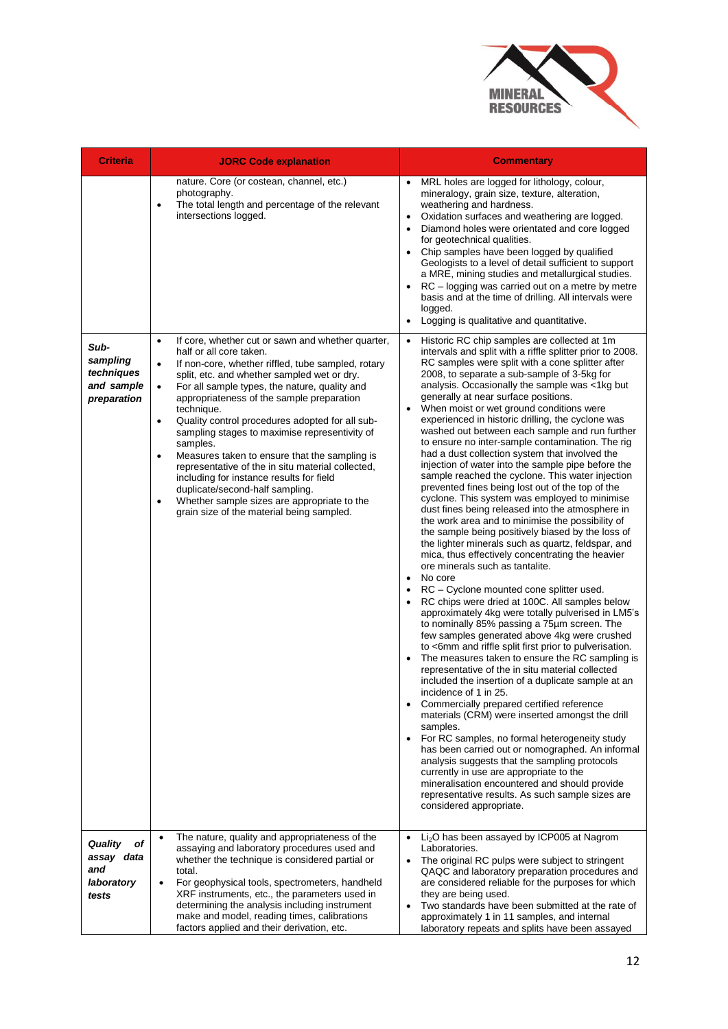

| <b>Criteria</b>                                                  | <b>JORC Code explanation</b>                                                                                                                                                                                                                                                                                                                                                                                                                                                                                                                                                                                                                                                                                                                                                 | <b>Commentary</b>                                                                                                                                                                                                                                                                                                                                                                                                                                                                                                                                                                                                                                                                                                                                                                                                                                                                                                                                                                                                                                                                                                                                                                                                                                                                                                                                                                                                                                                                                                                                                                                                                                                                                                                                                                                                                                                                                                                                                                                                                                                 |
|------------------------------------------------------------------|------------------------------------------------------------------------------------------------------------------------------------------------------------------------------------------------------------------------------------------------------------------------------------------------------------------------------------------------------------------------------------------------------------------------------------------------------------------------------------------------------------------------------------------------------------------------------------------------------------------------------------------------------------------------------------------------------------------------------------------------------------------------------|-------------------------------------------------------------------------------------------------------------------------------------------------------------------------------------------------------------------------------------------------------------------------------------------------------------------------------------------------------------------------------------------------------------------------------------------------------------------------------------------------------------------------------------------------------------------------------------------------------------------------------------------------------------------------------------------------------------------------------------------------------------------------------------------------------------------------------------------------------------------------------------------------------------------------------------------------------------------------------------------------------------------------------------------------------------------------------------------------------------------------------------------------------------------------------------------------------------------------------------------------------------------------------------------------------------------------------------------------------------------------------------------------------------------------------------------------------------------------------------------------------------------------------------------------------------------------------------------------------------------------------------------------------------------------------------------------------------------------------------------------------------------------------------------------------------------------------------------------------------------------------------------------------------------------------------------------------------------------------------------------------------------------------------------------------------------|
|                                                                  | nature. Core (or costean, channel, etc.)<br>photography.<br>The total length and percentage of the relevant<br>$\bullet$<br>intersections logged.                                                                                                                                                                                                                                                                                                                                                                                                                                                                                                                                                                                                                            | MRL holes are logged for lithology, colour,<br>$\bullet$<br>mineralogy, grain size, texture, alteration,<br>weathering and hardness.<br>Oxidation surfaces and weathering are logged.<br>$\bullet$<br>Diamond holes were orientated and core logged<br>for geotechnical qualities.<br>Chip samples have been logged by qualified<br>Geologists to a level of detail sufficient to support<br>a MRE, mining studies and metallurgical studies.<br>RC – logging was carried out on a metre by metre<br>basis and at the time of drilling. All intervals were<br>logged.<br>Logging is qualitative and quantitative.<br>$\bullet$                                                                                                                                                                                                                                                                                                                                                                                                                                                                                                                                                                                                                                                                                                                                                                                                                                                                                                                                                                                                                                                                                                                                                                                                                                                                                                                                                                                                                                    |
| Sub-<br>sampling<br>techniques<br>and sample<br>preparation      | If core, whether cut or sawn and whether quarter,<br>$\bullet$<br>half or all core taken.<br>If non-core, whether riffled, tube sampled, rotary<br>$\bullet$<br>split, etc. and whether sampled wet or dry.<br>For all sample types, the nature, quality and<br>$\bullet$<br>appropriateness of the sample preparation<br>technique.<br>Quality control procedures adopted for all sub-<br>$\bullet$<br>sampling stages to maximise representivity of<br>samples.<br>Measures taken to ensure that the sampling is<br>$\bullet$<br>representative of the in situ material collected,<br>including for instance results for field<br>duplicate/second-half sampling.<br>Whether sample sizes are appropriate to the<br>$\bullet$<br>grain size of the material being sampled. | Historic RC chip samples are collected at 1m.<br>intervals and split with a riffle splitter prior to 2008.<br>RC samples were split with a cone splitter after<br>2008, to separate a sub-sample of 3-5kg for<br>analysis. Occasionally the sample was <1kg but<br>generally at near surface positions.<br>When moist or wet ground conditions were<br>experienced in historic drilling, the cyclone was<br>washed out between each sample and run further<br>to ensure no inter-sample contamination. The rig<br>had a dust collection system that involved the<br>injection of water into the sample pipe before the<br>sample reached the cyclone. This water injection<br>prevented fines being lost out of the top of the<br>cyclone. This system was employed to minimise<br>dust fines being released into the atmosphere in<br>the work area and to minimise the possibility of<br>the sample being positively biased by the loss of<br>the lighter minerals such as quartz, feldspar, and<br>mica, thus effectively concentrating the heavier<br>ore minerals such as tantalite.<br>No core<br>$\bullet$<br>RC - Cyclone mounted cone splitter used.<br>RC chips were dried at 100C. All samples below<br>approximately 4kg were totally pulverised in LM5's<br>to nominally 85% passing a 75um screen. The<br>few samples generated above 4kg were crushed<br>to <6mm and riffle split first prior to pulverisation.<br>The measures taken to ensure the RC sampling is<br>representative of the in situ material collected<br>included the insertion of a duplicate sample at an<br>incidence of 1 in 25.<br>Commercially prepared certified reference<br>materials (CRM) were inserted amongst the drill<br>samples.<br>For RC samples, no formal heterogeneity study<br>has been carried out or nomographed. An informal<br>analysis suggests that the sampling protocols<br>currently in use are appropriate to the<br>mineralisation encountered and should provide<br>representative results. As such sample sizes are<br>considered appropriate. |
| <b>Quality</b><br>оf<br>assay data<br>and<br>laboratory<br>tests | The nature, quality and appropriateness of the<br>$\bullet$<br>assaying and laboratory procedures used and<br>whether the technique is considered partial or<br>total.<br>For geophysical tools, spectrometers, handheld<br>$\bullet$<br>XRF instruments, etc., the parameters used in<br>determining the analysis including instrument<br>make and model, reading times, calibrations<br>factors applied and their derivation, etc.                                                                                                                                                                                                                                                                                                                                         | Li <sub>2</sub> O has been assayed by ICP005 at Nagrom<br>Laboratories.<br>The original RC pulps were subject to stringent<br>QAQC and laboratory preparation procedures and<br>are considered reliable for the purposes for which<br>they are being used.<br>Two standards have been submitted at the rate of<br>approximately 1 in 11 samples, and internal<br>laboratory repeats and splits have been assayed                                                                                                                                                                                                                                                                                                                                                                                                                                                                                                                                                                                                                                                                                                                                                                                                                                                                                                                                                                                                                                                                                                                                                                                                                                                                                                                                                                                                                                                                                                                                                                                                                                                  |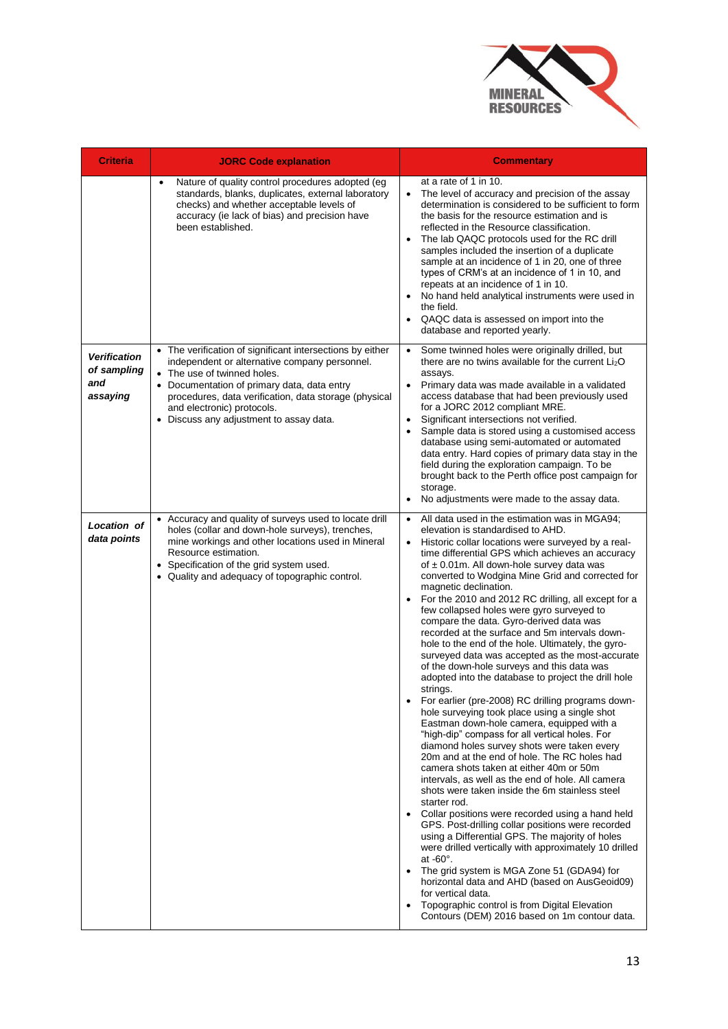

| <b>Criteria</b>                   | <b>JORC Code explanation</b>                                                                                                                                                                                                                                                         | <b>Commentary</b>                                                                                                                                                                                                                                                                                                                                                                                                                                                                                                                                                                                                                                                                                                                                                                                                                                                                                                                                                                                                                                                                                                                                                                                                                                                                                                                                                                                                                                                                                                                                                                                                                                                                                                                  |
|-----------------------------------|--------------------------------------------------------------------------------------------------------------------------------------------------------------------------------------------------------------------------------------------------------------------------------------|------------------------------------------------------------------------------------------------------------------------------------------------------------------------------------------------------------------------------------------------------------------------------------------------------------------------------------------------------------------------------------------------------------------------------------------------------------------------------------------------------------------------------------------------------------------------------------------------------------------------------------------------------------------------------------------------------------------------------------------------------------------------------------------------------------------------------------------------------------------------------------------------------------------------------------------------------------------------------------------------------------------------------------------------------------------------------------------------------------------------------------------------------------------------------------------------------------------------------------------------------------------------------------------------------------------------------------------------------------------------------------------------------------------------------------------------------------------------------------------------------------------------------------------------------------------------------------------------------------------------------------------------------------------------------------------------------------------------------------|
|                                   | Nature of quality control procedures adopted (eg<br>$\bullet$<br>standards, blanks, duplicates, external laboratory<br>checks) and whether acceptable levels of<br>accuracy (ie lack of bias) and precision have<br>been established.                                                | at a rate of 1 in 10.<br>The level of accuracy and precision of the assay<br>determination is considered to be sufficient to form<br>the basis for the resource estimation and is<br>reflected in the Resource classification.<br>The lab QAQC protocols used for the RC drill<br>$\bullet$<br>samples included the insertion of a duplicate<br>sample at an incidence of 1 in 20, one of three<br>types of CRM's at an incidence of 1 in 10, and<br>repeats at an incidence of 1 in 10.<br>No hand held analytical instruments were used in<br>the field.<br>QAQC data is assessed on import into the<br>database and reported yearly.                                                                                                                                                                                                                                                                                                                                                                                                                                                                                                                                                                                                                                                                                                                                                                                                                                                                                                                                                                                                                                                                                            |
| <b>Verification</b>               | • The verification of significant intersections by either<br>independent or alternative company personnel.                                                                                                                                                                           | Some twinned holes were originally drilled, but<br>there are no twins available for the current Li <sub>2</sub> O                                                                                                                                                                                                                                                                                                                                                                                                                                                                                                                                                                                                                                                                                                                                                                                                                                                                                                                                                                                                                                                                                                                                                                                                                                                                                                                                                                                                                                                                                                                                                                                                                  |
| of sampling<br>and<br>assaying    | • The use of twinned holes.<br>• Documentation of primary data, data entry<br>procedures, data verification, data storage (physical<br>and electronic) protocols.                                                                                                                    | assays.<br>Primary data was made available in a validated<br>access database that had been previously used<br>for a JORC 2012 compliant MRE.                                                                                                                                                                                                                                                                                                                                                                                                                                                                                                                                                                                                                                                                                                                                                                                                                                                                                                                                                                                                                                                                                                                                                                                                                                                                                                                                                                                                                                                                                                                                                                                       |
|                                   | • Discuss any adjustment to assay data.                                                                                                                                                                                                                                              | Significant intersections not verified.<br>Sample data is stored using a customised access<br>database using semi-automated or automated<br>data entry. Hard copies of primary data stay in the<br>field during the exploration campaign. To be<br>brought back to the Perth office post campaign for<br>storage.                                                                                                                                                                                                                                                                                                                                                                                                                                                                                                                                                                                                                                                                                                                                                                                                                                                                                                                                                                                                                                                                                                                                                                                                                                                                                                                                                                                                                  |
|                                   |                                                                                                                                                                                                                                                                                      | No adjustments were made to the assay data.                                                                                                                                                                                                                                                                                                                                                                                                                                                                                                                                                                                                                                                                                                                                                                                                                                                                                                                                                                                                                                                                                                                                                                                                                                                                                                                                                                                                                                                                                                                                                                                                                                                                                        |
| <b>Location of</b><br>data points | • Accuracy and quality of surveys used to locate drill<br>holes (collar and down-hole surveys), trenches,<br>mine workings and other locations used in Mineral<br>Resource estimation.<br>• Specification of the grid system used.<br>• Quality and adequacy of topographic control. | All data used in the estimation was in MGA94;<br>$\bullet$<br>elevation is standardised to AHD.<br>Historic collar locations were surveyed by a real-<br>$\bullet$<br>time differential GPS which achieves an accuracy<br>of $\pm$ 0.01m. All down-hole survey data was<br>converted to Wodgina Mine Grid and corrected for<br>magnetic declination.<br>For the 2010 and 2012 RC drilling, all except for a<br>few collapsed holes were gyro surveyed to<br>compare the data. Gyro-derived data was<br>recorded at the surface and 5m intervals down-<br>hole to the end of the hole. Ultimately, the gyro-<br>surveyed data was accepted as the most-accurate<br>of the down-hole surveys and this data was<br>adopted into the database to project the drill hole<br>strings.<br>For earlier (pre-2008) RC drilling programs down-<br>hole surveying took place using a single shot<br>Eastman down-hole camera, equipped with a<br>"high-dip" compass for all vertical holes. For<br>diamond holes survey shots were taken every<br>20m and at the end of hole. The RC holes had<br>camera shots taken at either 40m or 50m<br>intervals, as well as the end of hole. All camera<br>shots were taken inside the 6m stainless steel<br>starter rod.<br>Collar positions were recorded using a hand held<br>GPS. Post-drilling collar positions were recorded<br>using a Differential GPS. The majority of holes<br>were drilled vertically with approximately 10 drilled<br>at $-60^\circ$ .<br>The grid system is MGA Zone 51 (GDA94) for<br>horizontal data and AHD (based on AusGeoid09)<br>for vertical data.<br>Topographic control is from Digital Elevation<br>$\bullet$<br>Contours (DEM) 2016 based on 1m contour data. |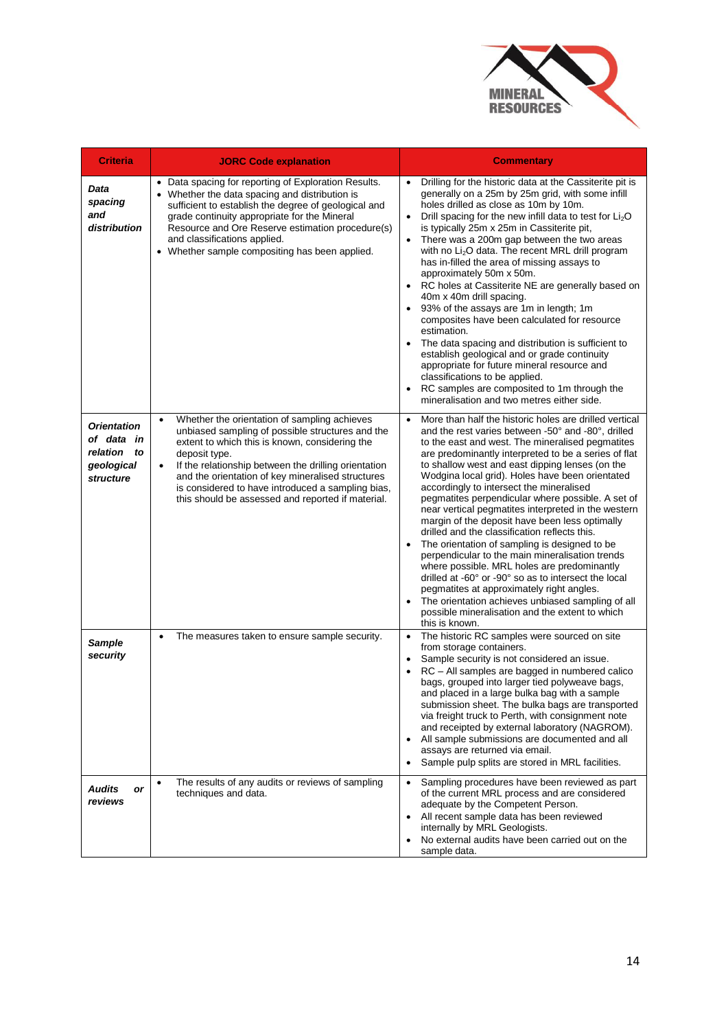

| <b>Criteria</b>                                                               | <b>JORC Code explanation</b>                                                                                                                                                                                                                                                                                                                                                                            | <b>Commentary</b>                                                                                                                                                                                                                                                                                                                                                                                                                                                                                                                                                                                                                                                                                                                                                                                                                                                                                                                                                           |
|-------------------------------------------------------------------------------|---------------------------------------------------------------------------------------------------------------------------------------------------------------------------------------------------------------------------------------------------------------------------------------------------------------------------------------------------------------------------------------------------------|-----------------------------------------------------------------------------------------------------------------------------------------------------------------------------------------------------------------------------------------------------------------------------------------------------------------------------------------------------------------------------------------------------------------------------------------------------------------------------------------------------------------------------------------------------------------------------------------------------------------------------------------------------------------------------------------------------------------------------------------------------------------------------------------------------------------------------------------------------------------------------------------------------------------------------------------------------------------------------|
| Data<br>spacing<br>and<br>distribution                                        | • Data spacing for reporting of Exploration Results.<br>• Whether the data spacing and distribution is<br>sufficient to establish the degree of geological and<br>grade continuity appropriate for the Mineral<br>Resource and Ore Reserve estimation procedure(s)<br>and classifications applied.<br>• Whether sample compositing has been applied.                                                    | Drilling for the historic data at the Cassiterite pit is<br>$\bullet$<br>generally on a 25m by 25m grid, with some infill<br>holes drilled as close as 10m by 10m.<br>Drill spacing for the new infill data to test for Li <sub>2</sub> O<br>$\bullet$<br>is typically 25m x 25m in Cassiterite pit,<br>There was a 200m gap between the two areas<br>with no Li <sub>2</sub> O data. The recent MRL drill program<br>has in-filled the area of missing assays to<br>approximately 50m x 50m.<br>RC holes at Cassiterite NE are generally based on<br>40m x 40m drill spacing.<br>93% of the assays are 1m in length; 1m<br>composites have been calculated for resource<br>estimation.<br>The data spacing and distribution is sufficient to<br>establish geological and or grade continuity<br>appropriate for future mineral resource and<br>classifications to be applied.<br>RC samples are composited to 1m through the<br>mineralisation and two metres either side. |
| <b>Orientation</b><br>of data in<br>relation<br>to<br>geological<br>structure | Whether the orientation of sampling achieves<br>unbiased sampling of possible structures and the<br>extent to which this is known, considering the<br>deposit type.<br>If the relationship between the drilling orientation<br>$\bullet$<br>and the orientation of key mineralised structures<br>is considered to have introduced a sampling bias,<br>this should be assessed and reported if material. | More than half the historic holes are drilled vertical<br>and the rest varies between -50° and -80°, drilled<br>to the east and west. The mineralised pegmatites<br>are predominantly interpreted to be a series of flat<br>to shallow west and east dipping lenses (on the<br>Wodgina local grid). Holes have been orientated<br>accordingly to intersect the mineralised<br>pegmatites perpendicular where possible. A set of<br>near vertical pegmatites interpreted in the western<br>margin of the deposit have been less optimally<br>drilled and the classification reflects this.<br>The orientation of sampling is designed to be<br>perpendicular to the main mineralisation trends<br>where possible. MRL holes are predominantly<br>drilled at -60° or -90° so as to intersect the local<br>pegmatites at approximately right angles.<br>The orientation achieves unbiased sampling of all<br>possible mineralisation and the extent to which<br>this is known. |
| <b>Sample</b><br>security                                                     | The measures taken to ensure sample security.<br>$\bullet$                                                                                                                                                                                                                                                                                                                                              | The historic RC samples were sourced on site<br>$\bullet$<br>from storage containers.<br>Sample security is not considered an issue.<br>RC - All samples are bagged in numbered calico<br>bags, grouped into larger tied polyweave bags,<br>and placed in a large bulka bag with a sample<br>submission sheet. The bulka bags are transported<br>via freight truck to Perth, with consignment note<br>and receipted by external laboratory (NAGROM).<br>All sample submissions are documented and all<br>$\bullet$<br>assays are returned via email.<br>Sample pulp splits are stored in MRL facilities.<br>$\bullet$                                                                                                                                                                                                                                                                                                                                                       |
| <b>Audits</b><br>or<br>reviews                                                | The results of any audits or reviews of sampling<br>$\bullet$<br>techniques and data.                                                                                                                                                                                                                                                                                                                   | Sampling procedures have been reviewed as part<br>$\bullet$<br>of the current MRL process and are considered<br>adequate by the Competent Person.<br>All recent sample data has been reviewed<br>internally by MRL Geologists.<br>No external audits have been carried out on the<br>$\bullet$<br>sample data.                                                                                                                                                                                                                                                                                                                                                                                                                                                                                                                                                                                                                                                              |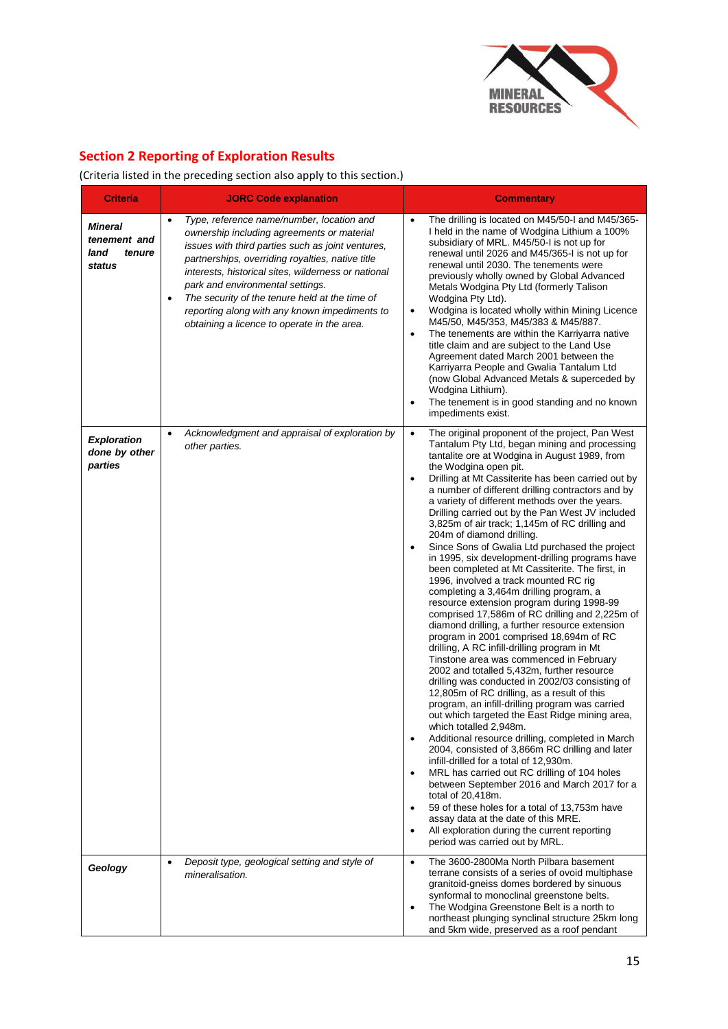

# **Section 2 Reporting of Exploration Results**

(Criteria listed in the preceding section also apply to this section.)

| <b>Criteria</b>                                            | <b>JORC Code explanation</b>                                                                                                                                                                                                                                                                                                                                                                                                                               | <b>Commentary</b>                                                                                                                                                                                                                                                                                                                                                                                                                                                                                                                                                                                                                                                                                                                                                                                                                                                                                                                                                                                                                                                                                                                                                                                                                                                                                                                                                                                                                                                                                                                                                                                                                                                                                                                                                                               |
|------------------------------------------------------------|------------------------------------------------------------------------------------------------------------------------------------------------------------------------------------------------------------------------------------------------------------------------------------------------------------------------------------------------------------------------------------------------------------------------------------------------------------|-------------------------------------------------------------------------------------------------------------------------------------------------------------------------------------------------------------------------------------------------------------------------------------------------------------------------------------------------------------------------------------------------------------------------------------------------------------------------------------------------------------------------------------------------------------------------------------------------------------------------------------------------------------------------------------------------------------------------------------------------------------------------------------------------------------------------------------------------------------------------------------------------------------------------------------------------------------------------------------------------------------------------------------------------------------------------------------------------------------------------------------------------------------------------------------------------------------------------------------------------------------------------------------------------------------------------------------------------------------------------------------------------------------------------------------------------------------------------------------------------------------------------------------------------------------------------------------------------------------------------------------------------------------------------------------------------------------------------------------------------------------------------------------------------|
| <b>Mineral</b><br>tenement and<br>land<br>tenure<br>status | $\bullet$<br>Type, reference name/number, location and<br>ownership including agreements or material<br>issues with third parties such as joint ventures,<br>partnerships, overriding royalties, native title<br>interests, historical sites, wilderness or national<br>park and environmental settings.<br>The security of the tenure held at the time of<br>reporting along with any known impediments to<br>obtaining a licence to operate in the area. | The drilling is located on M45/50-I and M45/365-<br>$\bullet$<br>I held in the name of Wodgina Lithium a 100%<br>subsidiary of MRL. M45/50-I is not up for<br>renewal until 2026 and M45/365-I is not up for<br>renewal until 2030. The tenements were<br>previously wholly owned by Global Advanced<br>Metals Wodgina Pty Ltd (formerly Talison<br>Wodgina Pty Ltd).<br>Wodgina is located wholly within Mining Licence<br>$\bullet$<br>M45/50, M45/353, M45/383 & M45/887.<br>The tenements are within the Karriyarra native<br>$\bullet$<br>title claim and are subject to the Land Use<br>Agreement dated March 2001 between the<br>Karriyarra People and Gwalia Tantalum Ltd<br>(now Global Advanced Metals & superceded by<br>Wodgina Lithium).<br>The tenement is in good standing and no known<br>impediments exist.                                                                                                                                                                                                                                                                                                                                                                                                                                                                                                                                                                                                                                                                                                                                                                                                                                                                                                                                                                    |
| <b>Exploration</b><br>done by other<br>parties             | Acknowledgment and appraisal of exploration by<br>$\bullet$<br>other parties.                                                                                                                                                                                                                                                                                                                                                                              | The original proponent of the project, Pan West<br>$\bullet$<br>Tantalum Pty Ltd, began mining and processing<br>tantalite ore at Wodgina in August 1989, from<br>the Wodgina open pit.<br>Drilling at Mt Cassiterite has been carried out by<br>$\bullet$<br>a number of different drilling contractors and by<br>a variety of different methods over the years.<br>Drilling carried out by the Pan West JV included<br>3,825m of air track; 1,145m of RC drilling and<br>204m of diamond drilling.<br>Since Sons of Gwalia Ltd purchased the project<br>$\bullet$<br>in 1995, six development-drilling programs have<br>been completed at Mt Cassiterite. The first, in<br>1996, involved a track mounted RC rig<br>completing a 3,464m drilling program, a<br>resource extension program during 1998-99<br>comprised 17,586m of RC drilling and 2,225m of<br>diamond drilling, a further resource extension<br>program in 2001 comprised 18,694m of RC<br>drilling, A RC infill-drilling program in Mt<br>Tinstone area was commenced in February<br>2002 and totalled 5,432m, further resource<br>drilling was conducted in 2002/03 consisting of<br>12,805m of RC drilling, as a result of this<br>program, an infill-drilling program was carried<br>out which targeted the East Ridge mining area,<br>which totalled 2,948m.<br>Additional resource drilling, completed in March<br>2004, consisted of 3,866m RC drilling and later<br>infill-drilled for a total of 12,930m.<br>MRL has carried out RC drilling of 104 holes<br>between September 2016 and March 2017 for a<br>total of 20,418m.<br>59 of these holes for a total of 13,753m have<br>assay data at the date of this MRE.<br>All exploration during the current reporting<br>$\bullet$<br>period was carried out by MRL. |
| Geology                                                    | Deposit type, geological setting and style of<br>$\bullet$<br>mineralisation.                                                                                                                                                                                                                                                                                                                                                                              | The 3600-2800Ma North Pilbara basement<br>$\bullet$<br>terrane consists of a series of ovoid multiphase<br>granitoid-gneiss domes bordered by sinuous<br>synformal to monoclinal greenstone belts.<br>The Wodgina Greenstone Belt is a north to<br>$\bullet$<br>northeast plunging synclinal structure 25km long<br>and 5km wide, preserved as a roof pendant                                                                                                                                                                                                                                                                                                                                                                                                                                                                                                                                                                                                                                                                                                                                                                                                                                                                                                                                                                                                                                                                                                                                                                                                                                                                                                                                                                                                                                   |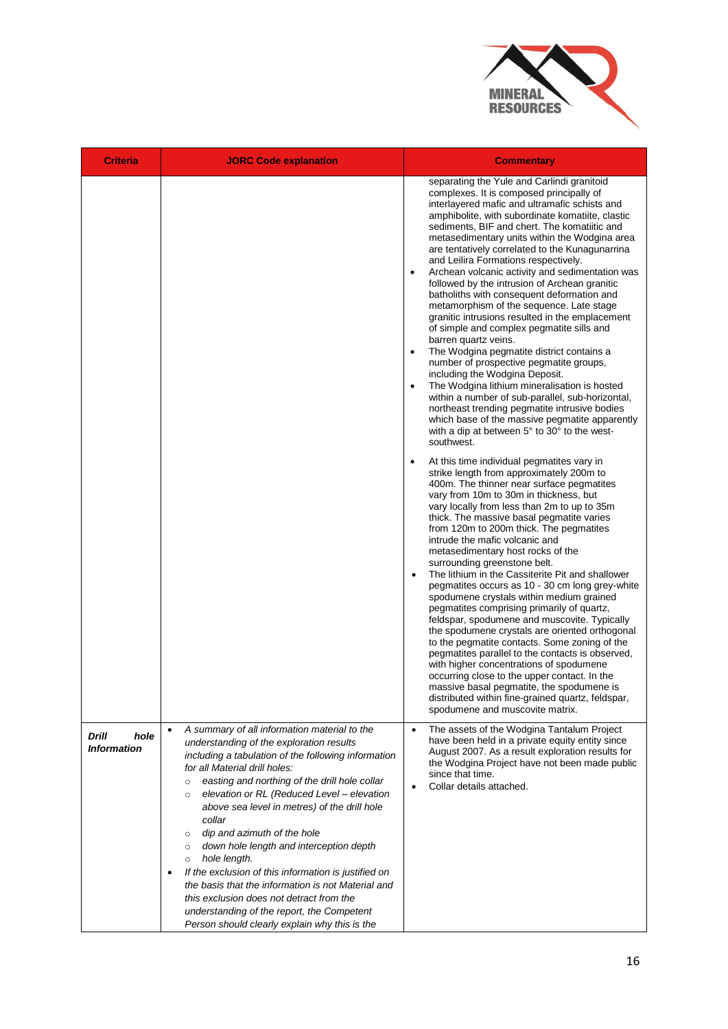

| <b>Criteria</b>                     | <b>JORC Code explanation</b>                                                                                                                                                                                                                                                                                                                                                                                                                                                                                                                                                                                                                                                                                                                                     | <b>Commentary</b>                                                                                                                                                                                                                                                                                                                                                                                                                                                                                                                                                                                                                                                                                                                                                                                                                                                                                                                                                                                                                                                                                                                                                                                                                                                                                                                                                                                                                                                                                                                                                                                                                                                                                                                                                                                                                                                                                                                                                                                                                                                                                                                                                                                                          |
|-------------------------------------|------------------------------------------------------------------------------------------------------------------------------------------------------------------------------------------------------------------------------------------------------------------------------------------------------------------------------------------------------------------------------------------------------------------------------------------------------------------------------------------------------------------------------------------------------------------------------------------------------------------------------------------------------------------------------------------------------------------------------------------------------------------|----------------------------------------------------------------------------------------------------------------------------------------------------------------------------------------------------------------------------------------------------------------------------------------------------------------------------------------------------------------------------------------------------------------------------------------------------------------------------------------------------------------------------------------------------------------------------------------------------------------------------------------------------------------------------------------------------------------------------------------------------------------------------------------------------------------------------------------------------------------------------------------------------------------------------------------------------------------------------------------------------------------------------------------------------------------------------------------------------------------------------------------------------------------------------------------------------------------------------------------------------------------------------------------------------------------------------------------------------------------------------------------------------------------------------------------------------------------------------------------------------------------------------------------------------------------------------------------------------------------------------------------------------------------------------------------------------------------------------------------------------------------------------------------------------------------------------------------------------------------------------------------------------------------------------------------------------------------------------------------------------------------------------------------------------------------------------------------------------------------------------------------------------------------------------------------------------------------------------|
|                                     |                                                                                                                                                                                                                                                                                                                                                                                                                                                                                                                                                                                                                                                                                                                                                                  | separating the Yule and Carlindi granitoid<br>complexes. It is composed principally of<br>interlayered mafic and ultramafic schists and<br>amphibolite, with subordinate komatiite, clastic<br>sediments, BIF and chert. The komatiitic and<br>metasedimentary units within the Wodgina area<br>are tentatively correlated to the Kunagunarrina<br>and Leilira Formations respectively.<br>Archean volcanic activity and sedimentation was<br>$\bullet$<br>followed by the intrusion of Archean granitic<br>batholiths with consequent deformation and<br>metamorphism of the sequence. Late stage<br>granitic intrusions resulted in the emplacement<br>of simple and complex pegmatite sills and<br>barren quartz veins.<br>The Wodgina pegmatite district contains a<br>number of prospective pegmatite groups,<br>including the Wodgina Deposit.<br>The Wodgina lithium mineralisation is hosted<br>$\bullet$<br>within a number of sub-parallel, sub-horizontal,<br>northeast trending pegmatite intrusive bodies<br>which base of the massive pegmatite apparently<br>with a dip at between 5° to 30° to the west-<br>southwest.<br>At this time individual pegmatites vary in<br>strike length from approximately 200m to<br>400m. The thinner near surface pegmatites<br>vary from 10m to 30m in thickness, but<br>vary locally from less than 2m to up to 35m<br>thick. The massive basal pegmatite varies<br>from 120m to 200m thick. The pegmatites<br>intrude the mafic volcanic and<br>metasedimentary host rocks of the<br>surrounding greenstone belt.<br>The lithium in the Cassiterite Pit and shallower<br>$\bullet$<br>pegmatites occurs as 10 - 30 cm long grey-white<br>spodumene crystals within medium grained<br>pegmatites comprising primarily of quartz,<br>feldspar, spodumene and muscovite. Typically<br>the spodumene crystals are oriented orthogonal<br>to the pegmatite contacts. Some zoning of the<br>pegmatites parallel to the contacts is observed,<br>with higher concentrations of spodumene<br>occurring close to the upper contact. In the<br>massive basal pegmatite, the spodumene is<br>distributed within fine-grained quartz, feldspar,<br>spodumene and muscovite matrix. |
| Drill<br>hole<br><b>Information</b> | A summary of all information material to the<br>$\bullet$<br>understanding of the exploration results<br>including a tabulation of the following information<br>for all Material drill holes:<br>easting and northing of the drill hole collar<br>$\circ$<br>elevation or RL (Reduced Level - elevation<br>$\circ$<br>above sea level in metres) of the drill hole<br>collar<br>dip and azimuth of the hole<br>$\circ$<br>down hole length and interception depth<br>$\circ$<br>hole length.<br>$\circ$<br>If the exclusion of this information is justified on<br>the basis that the information is not Material and<br>this exclusion does not detract from the<br>understanding of the report, the Competent<br>Person should clearly explain why this is the | The assets of the Wodgina Tantalum Project<br>$\bullet$<br>have been held in a private equity entity since<br>August 2007. As a result exploration results for<br>the Wodgina Project have not been made public<br>since that time.<br>Collar details attached.                                                                                                                                                                                                                                                                                                                                                                                                                                                                                                                                                                                                                                                                                                                                                                                                                                                                                                                                                                                                                                                                                                                                                                                                                                                                                                                                                                                                                                                                                                                                                                                                                                                                                                                                                                                                                                                                                                                                                            |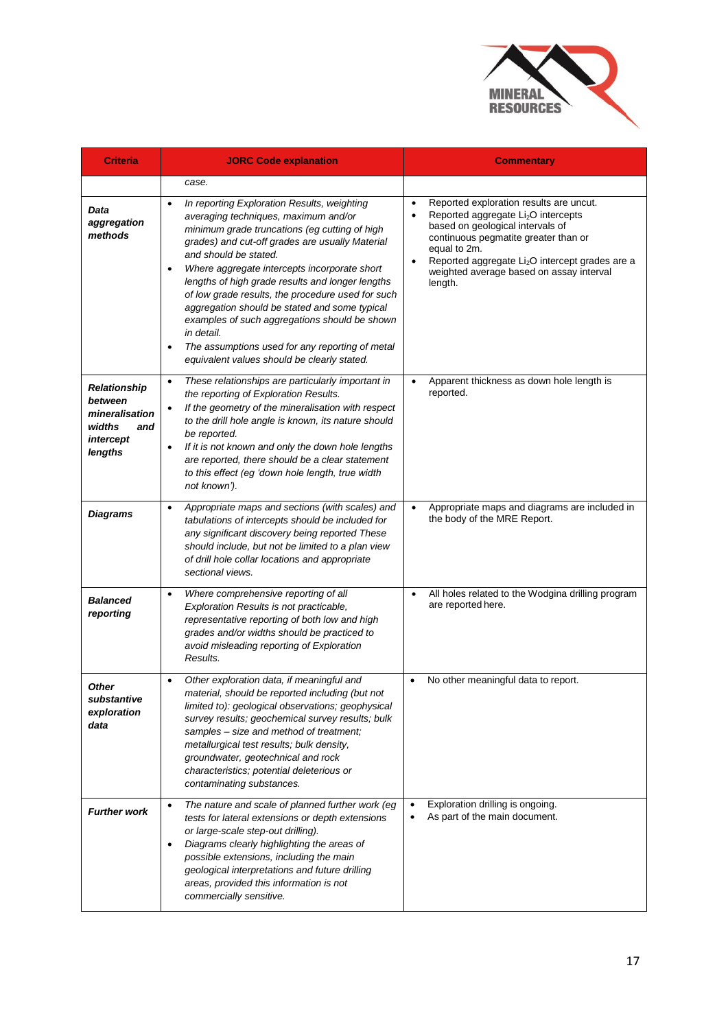

| <b>Criteria</b>                                                                    | <b>JORC Code explanation</b>                                                                                                                                                                                                                                                                                                                                                                                                                                                                                                                                                                                                       | <b>Commentary</b>                                                                                                                                                                                                                                                                                                                                   |
|------------------------------------------------------------------------------------|------------------------------------------------------------------------------------------------------------------------------------------------------------------------------------------------------------------------------------------------------------------------------------------------------------------------------------------------------------------------------------------------------------------------------------------------------------------------------------------------------------------------------------------------------------------------------------------------------------------------------------|-----------------------------------------------------------------------------------------------------------------------------------------------------------------------------------------------------------------------------------------------------------------------------------------------------------------------------------------------------|
|                                                                                    | case.                                                                                                                                                                                                                                                                                                                                                                                                                                                                                                                                                                                                                              |                                                                                                                                                                                                                                                                                                                                                     |
| Data<br>aggregation<br>methods                                                     | In reporting Exploration Results, weighting<br>$\bullet$<br>averaging techniques, maximum and/or<br>minimum grade truncations (eg cutting of high<br>grades) and cut-off grades are usually Material<br>and should be stated.<br>Where aggregate intercepts incorporate short<br>$\bullet$<br>lengths of high grade results and longer lengths<br>of low grade results, the procedure used for such<br>aggregation should be stated and some typical<br>examples of such aggregations should be shown<br>in detail.<br>The assumptions used for any reporting of metal<br>$\bullet$<br>equivalent values should be clearly stated. | Reported exploration results are uncut.<br>$\bullet$<br>Reported aggregate Li <sub>2</sub> O intercepts<br>$\bullet$<br>based on geological intervals of<br>continuous pegmatite greater than or<br>equal to 2m.<br>Reported aggregate Li <sub>2</sub> O intercept grades are a<br>$\bullet$<br>weighted average based on assay interval<br>length. |
| Relationship<br>between<br>mineralisation<br>widths<br>and<br>intercept<br>lengths | These relationships are particularly important in<br>$\bullet$<br>the reporting of Exploration Results.<br>If the geometry of the mineralisation with respect<br>to the drill hole angle is known, its nature should<br>be reported.<br>If it is not known and only the down hole lengths<br>are reported, there should be a clear statement<br>to this effect (eg 'down hole length, true width<br>not known').                                                                                                                                                                                                                   | Apparent thickness as down hole length is<br>reported.                                                                                                                                                                                                                                                                                              |
| <b>Diagrams</b>                                                                    | Appropriate maps and sections (with scales) and<br>$\bullet$<br>tabulations of intercepts should be included for<br>any significant discovery being reported These<br>should include, but not be limited to a plan view<br>of drill hole collar locations and appropriate<br>sectional views.                                                                                                                                                                                                                                                                                                                                      | Appropriate maps and diagrams are included in<br>$\bullet$<br>the body of the MRE Report.                                                                                                                                                                                                                                                           |
| <b>Balanced</b><br>reporting                                                       | Where comprehensive reporting of all<br>$\bullet$<br>Exploration Results is not practicable,<br>representative reporting of both low and high<br>grades and/or widths should be practiced to<br>avoid misleading reporting of Exploration<br>Results.                                                                                                                                                                                                                                                                                                                                                                              | All holes related to the Wodgina drilling program<br>$\bullet$<br>are reported here.                                                                                                                                                                                                                                                                |
| <b>Other</b><br>substantive<br>exploration<br>data                                 | Other exploration data, if meaningful and<br>material, should be reported including (but not<br>limited to): geological observations; geophysical<br>survey results; geochemical survey results; bulk<br>samples - size and method of treatment;<br>metallurgical test results; bulk density,<br>groundwater, geotechnical and rock<br>characteristics; potential deleterious or<br>contaminating substances.                                                                                                                                                                                                                      | No other meaningful data to report.<br>$\bullet$                                                                                                                                                                                                                                                                                                    |
| <b>Further work</b>                                                                | The nature and scale of planned further work (eg<br>$\bullet$<br>tests for lateral extensions or depth extensions<br>or large-scale step-out drilling).<br>Diagrams clearly highlighting the areas of<br>possible extensions, including the main<br>geological interpretations and future drilling<br>areas, provided this information is not<br>commercially sensitive.                                                                                                                                                                                                                                                           | Exploration drilling is ongoing.<br>$\bullet$<br>As part of the main document.                                                                                                                                                                                                                                                                      |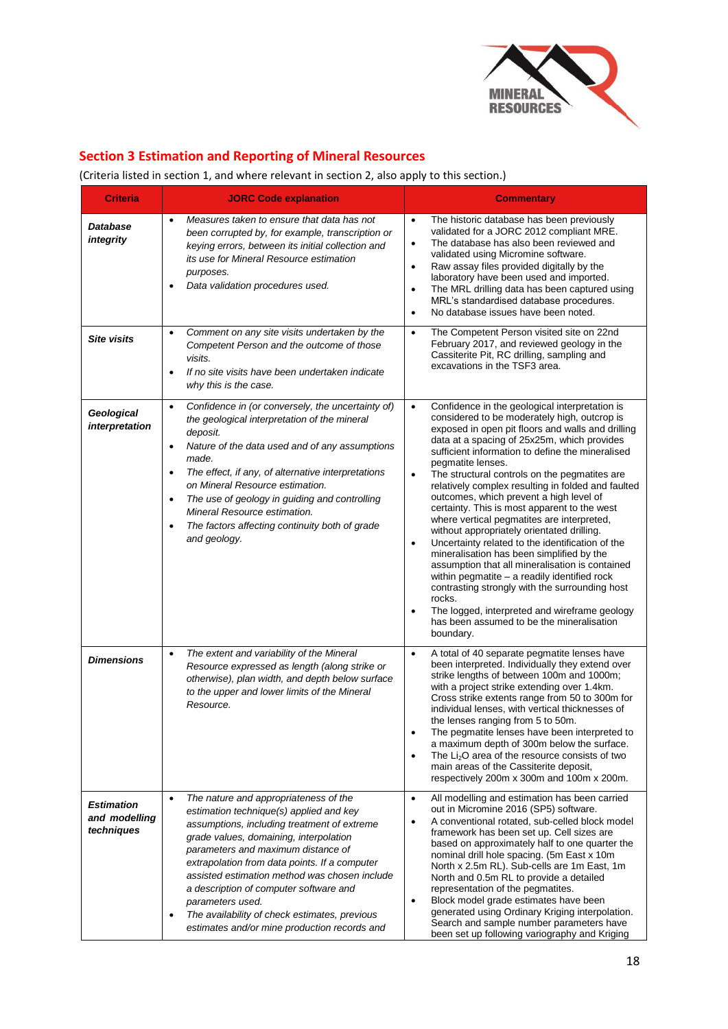

## **Section 3 Estimation and Reporting of Mineral Resources**

## (Criteria listed in section 1, and where relevant in section 2, also apply to this section.)

| <b>Criteria</b>                                  | <b>JORC Code explanation</b>                                                                                                                                                                                                                                                                                                                                                                                                                                                                               | <b>Commentary</b>                                                                                                                                                                                                                                                                                                                                                                                                                                                                                                                                                                                                                                                                                                                                                                                                                                                                                                                                                                           |
|--------------------------------------------------|------------------------------------------------------------------------------------------------------------------------------------------------------------------------------------------------------------------------------------------------------------------------------------------------------------------------------------------------------------------------------------------------------------------------------------------------------------------------------------------------------------|---------------------------------------------------------------------------------------------------------------------------------------------------------------------------------------------------------------------------------------------------------------------------------------------------------------------------------------------------------------------------------------------------------------------------------------------------------------------------------------------------------------------------------------------------------------------------------------------------------------------------------------------------------------------------------------------------------------------------------------------------------------------------------------------------------------------------------------------------------------------------------------------------------------------------------------------------------------------------------------------|
| Database<br>integrity                            | Measures taken to ensure that data has not<br>$\bullet$<br>been corrupted by, for example, transcription or<br>keying errors, between its initial collection and<br>its use for Mineral Resource estimation<br>purposes.<br>Data validation procedures used.                                                                                                                                                                                                                                               | $\bullet$<br>The historic database has been previously<br>validated for a JORC 2012 compliant MRE.<br>The database has also been reviewed and<br>$\bullet$<br>validated using Micromine software.<br>Raw assay files provided digitally by the<br>$\bullet$<br>laboratory have been used and imported.<br>The MRL drilling data has been captured using<br>$\bullet$<br>MRL's standardised database procedures.<br>No database issues have been noted.<br>$\bullet$                                                                                                                                                                                                                                                                                                                                                                                                                                                                                                                         |
| <b>Site visits</b>                               | Comment on any site visits undertaken by the<br>$\bullet$<br>Competent Person and the outcome of those<br>visits.<br>If no site visits have been undertaken indicate<br>$\bullet$<br>why this is the case.                                                                                                                                                                                                                                                                                                 | The Competent Person visited site on 22nd<br>$\bullet$<br>February 2017, and reviewed geology in the<br>Cassiterite Pit, RC drilling, sampling and<br>excavations in the TSF3 area.                                                                                                                                                                                                                                                                                                                                                                                                                                                                                                                                                                                                                                                                                                                                                                                                         |
| Geological<br>interpretation                     | Confidence in (or conversely, the uncertainty of)<br>$\bullet$<br>the geological interpretation of the mineral<br>deposit.<br>Nature of the data used and of any assumptions<br>$\bullet$<br>made.<br>The effect, if any, of alternative interpretations<br>$\bullet$<br>on Mineral Resource estimation.<br>The use of geology in guiding and controlling<br>$\bullet$<br>Mineral Resource estimation.<br>The factors affecting continuity both of grade<br>$\bullet$<br>and geology.                      | Confidence in the geological interpretation is<br>$\bullet$<br>considered to be moderately high, outcrop is<br>exposed in open pit floors and walls and drilling<br>data at a spacing of 25x25m, which provides<br>sufficient information to define the mineralised<br>pegmatite lenses.<br>The structural controls on the pegmatites are<br>$\bullet$<br>relatively complex resulting in folded and faulted<br>outcomes, which prevent a high level of<br>certainty. This is most apparent to the west<br>where vertical pegmatites are interpreted,<br>without appropriately orientated drilling.<br>Uncertainty related to the identification of the<br>$\bullet$<br>mineralisation has been simplified by the<br>assumption that all mineralisation is contained<br>within pegmatite - a readily identified rock<br>contrasting strongly with the surrounding host<br>rocks.<br>The logged, interpreted and wireframe geology<br>has been assumed to be the mineralisation<br>boundary. |
| <b>Dimensions</b>                                | The extent and variability of the Mineral<br>$\bullet$<br>Resource expressed as length (along strike or<br>otherwise), plan width, and depth below surface<br>to the upper and lower limits of the Mineral<br>Resource.                                                                                                                                                                                                                                                                                    | A total of 40 separate pegmatite lenses have<br>$\bullet$<br>been interpreted. Individually they extend over<br>strike lengths of between 100m and 1000m;<br>with a project strike extending over 1.4km.<br>Cross strike extents range from 50 to 300m for<br>individual lenses, with vertical thicknesses of<br>the lenses ranging from 5 to 50m.<br>The pegmatite lenses have been interpreted to<br>a maximum depth of 300m below the surface.<br>The Li <sub>2</sub> O area of the resource consists of two<br>$\bullet$<br>main areas of the Cassiterite deposit,<br>respectively 200m x 300m and 100m x 200m.                                                                                                                                                                                                                                                                                                                                                                         |
| <b>Estimation</b><br>and modelling<br>techniques | The nature and appropriateness of the<br>$\bullet$<br>estimation technique(s) applied and key<br>assumptions, including treatment of extreme<br>grade values, domaining, interpolation<br>parameters and maximum distance of<br>extrapolation from data points. If a computer<br>assisted estimation method was chosen include<br>a description of computer software and<br>parameters used.<br>The availability of check estimates, previous<br>$\bullet$<br>estimates and/or mine production records and | All modelling and estimation has been carried<br>$\bullet$<br>out in Micromine 2016 (SP5) software.<br>A conventional rotated, sub-celled block model<br>$\bullet$<br>framework has been set up. Cell sizes are<br>based on approximately half to one quarter the<br>nominal drill hole spacing. (5m East x 10m<br>North x 2.5m RL). Sub-cells are 1m East, 1m<br>North and 0.5m RL to provide a detailed<br>representation of the pegmatites.<br>Block model grade estimates have been<br>$\bullet$<br>generated using Ordinary Kriging interpolation.<br>Search and sample number parameters have<br>been set up following variography and Kriging                                                                                                                                                                                                                                                                                                                                        |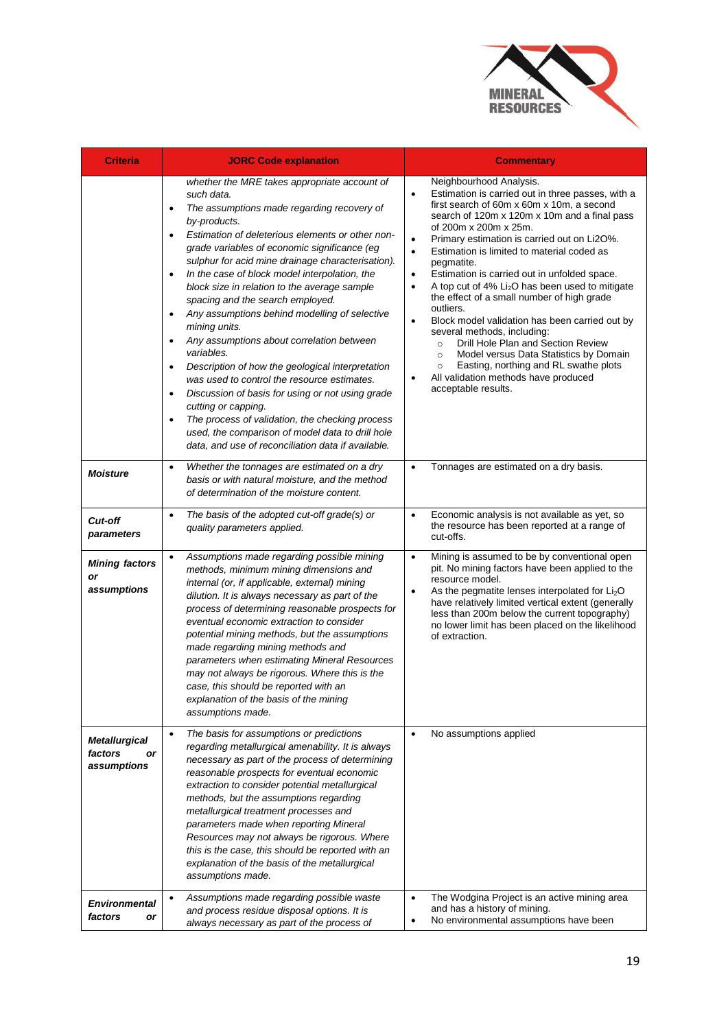

| <b>Criteria</b>                                      | <b>JORC Code explanation</b>                                                                                                                                                                                                                                                                                                                                                                                                                                                                                                                                                                                                                                                                                                                                                                                                                                                                                                                                                 | <b>Commentary</b>                                                                                                                                                                                                                                                                                                                                                                                                                                                                                                                                                                                                                                                                                                                                                                                                                                                                            |
|------------------------------------------------------|------------------------------------------------------------------------------------------------------------------------------------------------------------------------------------------------------------------------------------------------------------------------------------------------------------------------------------------------------------------------------------------------------------------------------------------------------------------------------------------------------------------------------------------------------------------------------------------------------------------------------------------------------------------------------------------------------------------------------------------------------------------------------------------------------------------------------------------------------------------------------------------------------------------------------------------------------------------------------|----------------------------------------------------------------------------------------------------------------------------------------------------------------------------------------------------------------------------------------------------------------------------------------------------------------------------------------------------------------------------------------------------------------------------------------------------------------------------------------------------------------------------------------------------------------------------------------------------------------------------------------------------------------------------------------------------------------------------------------------------------------------------------------------------------------------------------------------------------------------------------------------|
|                                                      | whether the MRE takes appropriate account of<br>such data.<br>The assumptions made regarding recovery of<br>$\bullet$<br>by-products.<br>Estimation of deleterious elements or other non-<br>grade variables of economic significance (eg<br>sulphur for acid mine drainage characterisation).<br>In the case of block model interpolation, the<br>$\bullet$<br>block size in relation to the average sample<br>spacing and the search employed.<br>Any assumptions behind modelling of selective<br>$\bullet$<br>mining units.<br>Any assumptions about correlation between<br>$\bullet$<br>variables.<br>Description of how the geological interpretation<br>was used to control the resource estimates.<br>Discussion of basis for using or not using grade<br>$\bullet$<br>cutting or capping.<br>The process of validation, the checking process<br>$\bullet$<br>used, the comparison of model data to drill hole<br>data, and use of reconciliation data if available. | Neighbourhood Analysis.<br>Estimation is carried out in three passes, with a<br>$\bullet$<br>first search of 60m x 60m x 10m, a second<br>search of 120m x 120m x 10m and a final pass<br>of 200m x 200m x 25m.<br>Primary estimation is carried out on Li2O%.<br>$\bullet$<br>Estimation is limited to material coded as<br>$\bullet$<br>pegmatite.<br>Estimation is carried out in unfolded space.<br>$\bullet$<br>A top cut of 4% Li <sub>2</sub> O has been used to mitigate<br>$\bullet$<br>the effect of a small number of high grade<br>outliers.<br>Block model validation has been carried out by<br>$\bullet$<br>several methods, including:<br>Drill Hole Plan and Section Review<br>$\circ$<br>Model versus Data Statistics by Domain<br>$\circ$<br>Easting, northing and RL swathe plots<br>$\circ$<br>All validation methods have produced<br>$\bullet$<br>acceptable results. |
| <b>Moisture</b>                                      | Whether the tonnages are estimated on a dry<br>$\bullet$<br>basis or with natural moisture, and the method<br>of determination of the moisture content.                                                                                                                                                                                                                                                                                                                                                                                                                                                                                                                                                                                                                                                                                                                                                                                                                      | Tonnages are estimated on a dry basis.<br>$\bullet$                                                                                                                                                                                                                                                                                                                                                                                                                                                                                                                                                                                                                                                                                                                                                                                                                                          |
| <b>Cut-off</b><br>parameters                         | The basis of the adopted cut-off grade(s) or<br>$\bullet$<br>quality parameters applied.                                                                                                                                                                                                                                                                                                                                                                                                                                                                                                                                                                                                                                                                                                                                                                                                                                                                                     | Economic analysis is not available as yet, so<br>$\bullet$<br>the resource has been reported at a range of<br>cut-offs.                                                                                                                                                                                                                                                                                                                                                                                                                                                                                                                                                                                                                                                                                                                                                                      |
| <b>Mining factors</b><br>or<br>assumptions           | Assumptions made regarding possible mining<br>$\bullet$<br>methods, minimum mining dimensions and<br>internal (or, if applicable, external) mining<br>dilution. It is always necessary as part of the<br>process of determining reasonable prospects for<br>eventual economic extraction to consider<br>potential mining methods, but the assumptions<br>made regarding mining methods and<br>parameters when estimating Mineral Resources<br>may not always be rigorous. Where this is the<br>case, this should be reported with an<br>explanation of the basis of the mining<br>assumptions made.                                                                                                                                                                                                                                                                                                                                                                          | Mining is assumed to be by conventional open<br>$\bullet$<br>pit. No mining factors have been applied to the<br>resource model.<br>As the pegmatite lenses interpolated for Li <sub>2</sub> O<br>$\bullet$<br>have relatively limited vertical extent (generally<br>less than 200m below the current topography)<br>no lower limit has been placed on the likelihood<br>of extraction.                                                                                                                                                                                                                                                                                                                                                                                                                                                                                                       |
| <b>Metallurgical</b><br>factors<br>or<br>assumptions | The basis for assumptions or predictions<br>$\bullet$<br>regarding metallurgical amenability. It is always<br>necessary as part of the process of determining<br>reasonable prospects for eventual economic<br>extraction to consider potential metallurgical<br>methods, but the assumptions regarding<br>metallurgical treatment processes and<br>parameters made when reporting Mineral<br>Resources may not always be rigorous. Where<br>this is the case, this should be reported with an<br>explanation of the basis of the metallurgical<br>assumptions made.                                                                                                                                                                                                                                                                                                                                                                                                         | No assumptions applied<br>$\bullet$                                                                                                                                                                                                                                                                                                                                                                                                                                                                                                                                                                                                                                                                                                                                                                                                                                                          |
| <b>Environmental</b><br>factors<br>or                | Assumptions made regarding possible waste<br>$\bullet$<br>and process residue disposal options. It is<br>always necessary as part of the process of                                                                                                                                                                                                                                                                                                                                                                                                                                                                                                                                                                                                                                                                                                                                                                                                                          | The Wodgina Project is an active mining area<br>$\bullet$<br>and has a history of mining.<br>No environmental assumptions have been<br>$\bullet$                                                                                                                                                                                                                                                                                                                                                                                                                                                                                                                                                                                                                                                                                                                                             |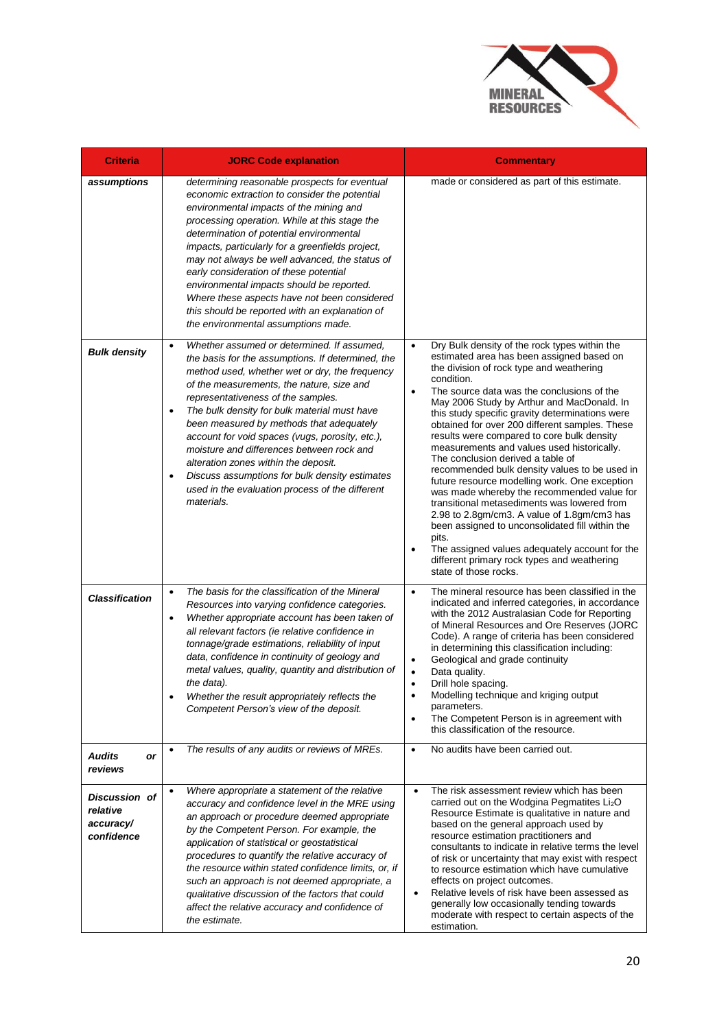

| <b>Criteria</b>                                      | <b>JORC Code explanation</b>                                                                                                                                                                                                                                                                                                                                                                                                                                                                                                                                                                                                       | <b>Commentary</b>                                                                                                                                                                                                                                                                                                                                                                                                                                                                                                                                                                                                                                                                                                                                                                                                                                                                                                                                                 |
|------------------------------------------------------|------------------------------------------------------------------------------------------------------------------------------------------------------------------------------------------------------------------------------------------------------------------------------------------------------------------------------------------------------------------------------------------------------------------------------------------------------------------------------------------------------------------------------------------------------------------------------------------------------------------------------------|-------------------------------------------------------------------------------------------------------------------------------------------------------------------------------------------------------------------------------------------------------------------------------------------------------------------------------------------------------------------------------------------------------------------------------------------------------------------------------------------------------------------------------------------------------------------------------------------------------------------------------------------------------------------------------------------------------------------------------------------------------------------------------------------------------------------------------------------------------------------------------------------------------------------------------------------------------------------|
| assumptions                                          | determining reasonable prospects for eventual<br>economic extraction to consider the potential<br>environmental impacts of the mining and<br>processing operation. While at this stage the<br>determination of potential environmental<br>impacts, particularly for a greenfields project,<br>may not always be well advanced, the status of<br>early consideration of these potential<br>environmental impacts should be reported.<br>Where these aspects have not been considered<br>this should be reported with an explanation of<br>the environmental assumptions made.                                                       | made or considered as part of this estimate.                                                                                                                                                                                                                                                                                                                                                                                                                                                                                                                                                                                                                                                                                                                                                                                                                                                                                                                      |
| <b>Bulk density</b>                                  | Whether assumed or determined. If assumed,<br>$\bullet$<br>the basis for the assumptions. If determined, the<br>method used, whether wet or dry, the frequency<br>of the measurements, the nature, size and<br>representativeness of the samples.<br>The bulk density for bulk material must have<br>$\bullet$<br>been measured by methods that adequately<br>account for void spaces (vugs, porosity, etc.),<br>moisture and differences between rock and<br>alteration zones within the deposit.<br>Discuss assumptions for bulk density estimates<br>$\bullet$<br>used in the evaluation process of the different<br>materials. | Dry Bulk density of the rock types within the<br>$\bullet$<br>estimated area has been assigned based on<br>the division of rock type and weathering<br>condition.<br>The source data was the conclusions of the<br>$\bullet$<br>May 2006 Study by Arthur and MacDonald. In<br>this study specific gravity determinations were<br>obtained for over 200 different samples. These<br>results were compared to core bulk density<br>measurements and values used historically.<br>The conclusion derived a table of<br>recommended bulk density values to be used in<br>future resource modelling work. One exception<br>was made whereby the recommended value for<br>transitional metasediments was lowered from<br>2.98 to 2.8gm/cm3. A value of 1.8gm/cm3 has<br>been assigned to unconsolidated fill within the<br>pits.<br>The assigned values adequately account for the<br>$\bullet$<br>different primary rock types and weathering<br>state of those rocks. |
| <b>Classification</b>                                | The basis for the classification of the Mineral<br>$\bullet$<br>Resources into varying confidence categories.<br>Whether appropriate account has been taken of<br>$\bullet$<br>all relevant factors (ie relative confidence in<br>tonnage/grade estimations, reliability of input<br>data, confidence in continuity of geology and<br>metal values, quality, quantity and distribution of<br>the data).<br>Whether the result appropriately reflects the<br>Competent Person's view of the deposit.<br>The results of any audits or reviews of MREs.                                                                               | The mineral resource has been classified in the<br>$\bullet$<br>indicated and inferred categories, in accordance<br>with the 2012 Australasian Code for Reporting<br>of Mineral Resources and Ore Reserves (JORC<br>Code). A range of criteria has been considered<br>in determining this classification including:<br>Geological and grade continuity<br>$\bullet$<br>Data quality.<br>$\bullet$<br>Drill hole spacing.<br>٠<br>Modelling technique and kriging output<br>parameters.<br>The Competent Person is in agreement with<br>$\bullet$<br>this classification of the resource.<br>No audits have been carried out.<br>$\bullet$                                                                                                                                                                                                                                                                                                                         |
| <b>Audits</b><br>or<br>reviews                       |                                                                                                                                                                                                                                                                                                                                                                                                                                                                                                                                                                                                                                    |                                                                                                                                                                                                                                                                                                                                                                                                                                                                                                                                                                                                                                                                                                                                                                                                                                                                                                                                                                   |
| Discussion of<br>relative<br>accuracy/<br>confidence | Where appropriate a statement of the relative<br>$\bullet$<br>accuracy and confidence level in the MRE using<br>an approach or procedure deemed appropriate<br>by the Competent Person. For example, the<br>application of statistical or geostatistical<br>procedures to quantify the relative accuracy of<br>the resource within stated confidence limits, or, if<br>such an approach is not deemed appropriate, a<br>qualitative discussion of the factors that could<br>affect the relative accuracy and confidence of<br>the estimate.                                                                                        | The risk assessment review which has been<br>$\bullet$<br>carried out on the Wodgina Pegmatites $Li2O$<br>Resource Estimate is qualitative in nature and<br>based on the general approach used by<br>resource estimation practitioners and<br>consultants to indicate in relative terms the level<br>of risk or uncertainty that may exist with respect<br>to resource estimation which have cumulative<br>effects on project outcomes.<br>Relative levels of risk have been assessed as<br>$\bullet$<br>generally low occasionally tending towards<br>moderate with respect to certain aspects of the<br>estimation.                                                                                                                                                                                                                                                                                                                                             |